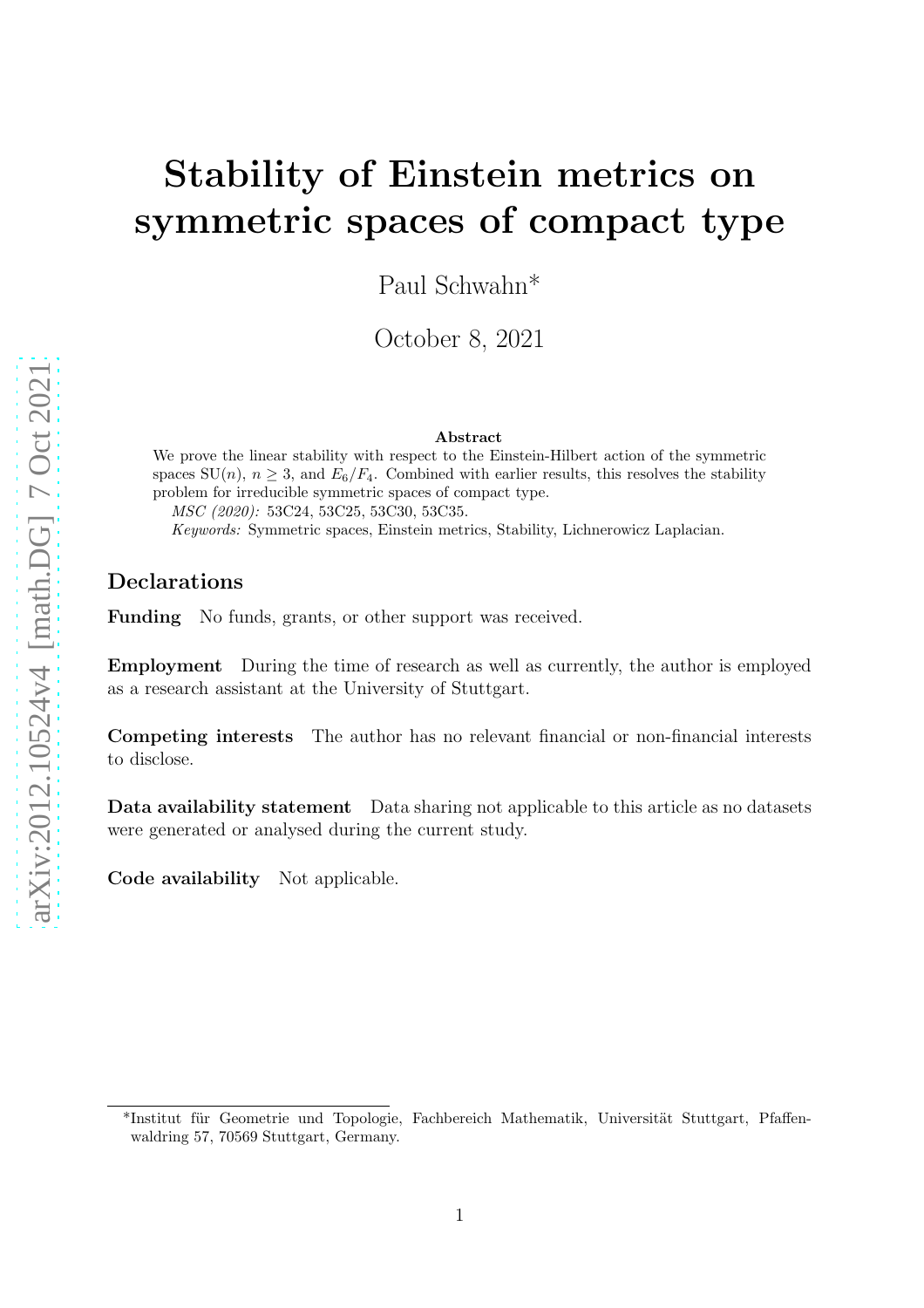# Stability of Einstein metrics on symmetric spaces of compact type

Paul Schwahn\*

October 8, 2021

#### Abstract

We prove the linear stability with respect to the Einstein-Hilbert action of the symmetric spaces  $SU(n)$ ,  $n \geq 3$ , and  $E_6/F_4$ . Combined with earlier results, this resolves the stability problem for irreducible symmetric spaces of compact type. MSC (2020): 53C24, 53C25, 53C30, 53C35. Keywords: Symmetric spaces, Einstein metrics, Stability, Lichnerowicz Laplacian.

#### Declarations

Funding No funds, grants, or other support was received.

Employment During the time of research as well as currently, the author is employed as a research assistant at the University of Stuttgart.

Competing interests The author has no relevant financial or non-financial interests to disclose.

Data availability statement Data sharing not applicable to this article as no datasets were generated or analysed during the current study.

Code availability Not applicable.

<sup>\*</sup>Institut für Geometrie und Topologie, Fachbereich Mathematik, Universität Stuttgart, Pfaffenwaldring 57, 70569 Stuttgart, Germany.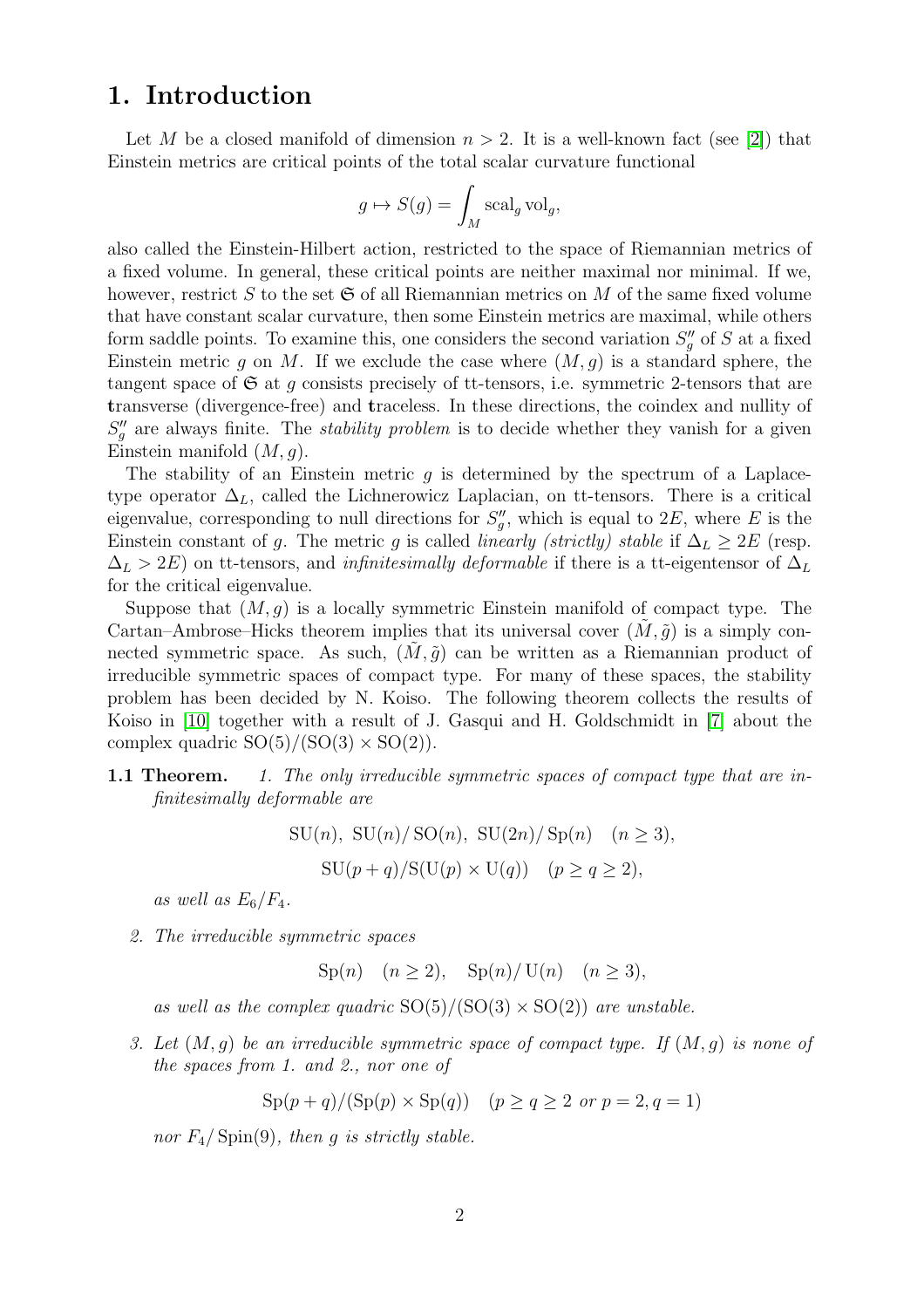### 1. Introduction

Let M be a closed manifold of dimension  $n > 2$ . It is a well-known fact (see [\[2\]](#page-25-0)) that Einstein metrics are critical points of the total scalar curvature functional

$$
g \mapsto S(g) = \int_M \operatorname{scal}_g \operatorname{vol}_g,
$$

also called the Einstein-Hilbert action, restricted to the space of Riemannian metrics of a fixed volume. In general, these critical points are neither maximal nor minimal. If we, however, restrict S to the set  $\mathfrak S$  of all Riemannian metrics on M of the same fixed volume that have constant scalar curvature, then some Einstein metrics are maximal, while others form saddle points. To examine this, one considers the second variation  $S''_g$  of S at a fixed Einstein metric g on M. If we exclude the case where  $(M, g)$  is a standard sphere, the tangent space of  $\mathfrak S$  at q consists precisely of tt-tensors, i.e. symmetric 2-tensors that are transverse (divergence-free) and traceless. In these directions, the coindex and nullity of  $S''_g$  are always finite. The *stability problem* is to decide whether they vanish for a given Einstein manifold  $(M, q)$ .

The stability of an Einstein metric q is determined by the spectrum of a Laplacetype operator  $\Delta_L$ , called the Lichnerowicz Laplacian, on tt-tensors. There is a critical eigenvalue, corresponding to null directions for  $S''_g$ , which is equal to  $2E$ , where E is the Einstein constant of g. The metric g is called *linearly (strictly) stable* if  $\Delta_L \geq 2E$  (resp.  $\Delta_L > 2E$ ) on tt-tensors, and *infinitesimally deformable* if there is a tt-eigentensor of  $\Delta_L$ for the critical eigenvalue.

Suppose that  $(M, q)$  is a locally symmetric Einstein manifold of compact type. The Cartan–Ambrose–Hicks theorem implies that its universal cover  $(M, \tilde{g})$  is a simply connected symmetric space. As such,  $(M, \tilde{g})$  can be written as a Riemannian product of irreducible symmetric spaces of compact type. For many of these spaces, the stability problem has been decided by N. Koiso. The following theorem collects the results of Koiso in [\[10\]](#page-25-1) together with a result of J. Gasqui and H. Goldschmidt in [\[7\]](#page-25-2) about the complex quadric  $SO(5)/(SO(3) \times SO(2)).$ 

#### 1.1 Theorem. 1. The only irreducible symmetric spaces of compact type that are infinitesimally deformable are

SU(n), SU(n)/SO(n), SU(2n)/Sp(n) (n > 3),

 $\text{SU}(p+q)/\text{S}(\text{U}(p) \times \text{U}(q))$   $(p \ge q \ge 2),$ 

as well as  $E_6/F_4$ .

2. The irreducible symmetric spaces

Sp(n)  $(n > 2)$ , Sp(n)/U(n)  $(n > 3)$ ,

as well as the complex quadric  $SO(5)/(SO(3) \times SO(2))$  are unstable.

3. Let  $(M, g)$  be an irreducible symmetric space of compact type. If  $(M, g)$  is none of the spaces from 1. and 2., nor one of

 $\text{Sp}(p+q)/(\text{Sp}(p) \times \text{Sp}(q))$   $(p > q > 2 \text{ or } p = 2, q = 1)$ 

nor  $F_4$ / Spin(9), then q is strictly stable.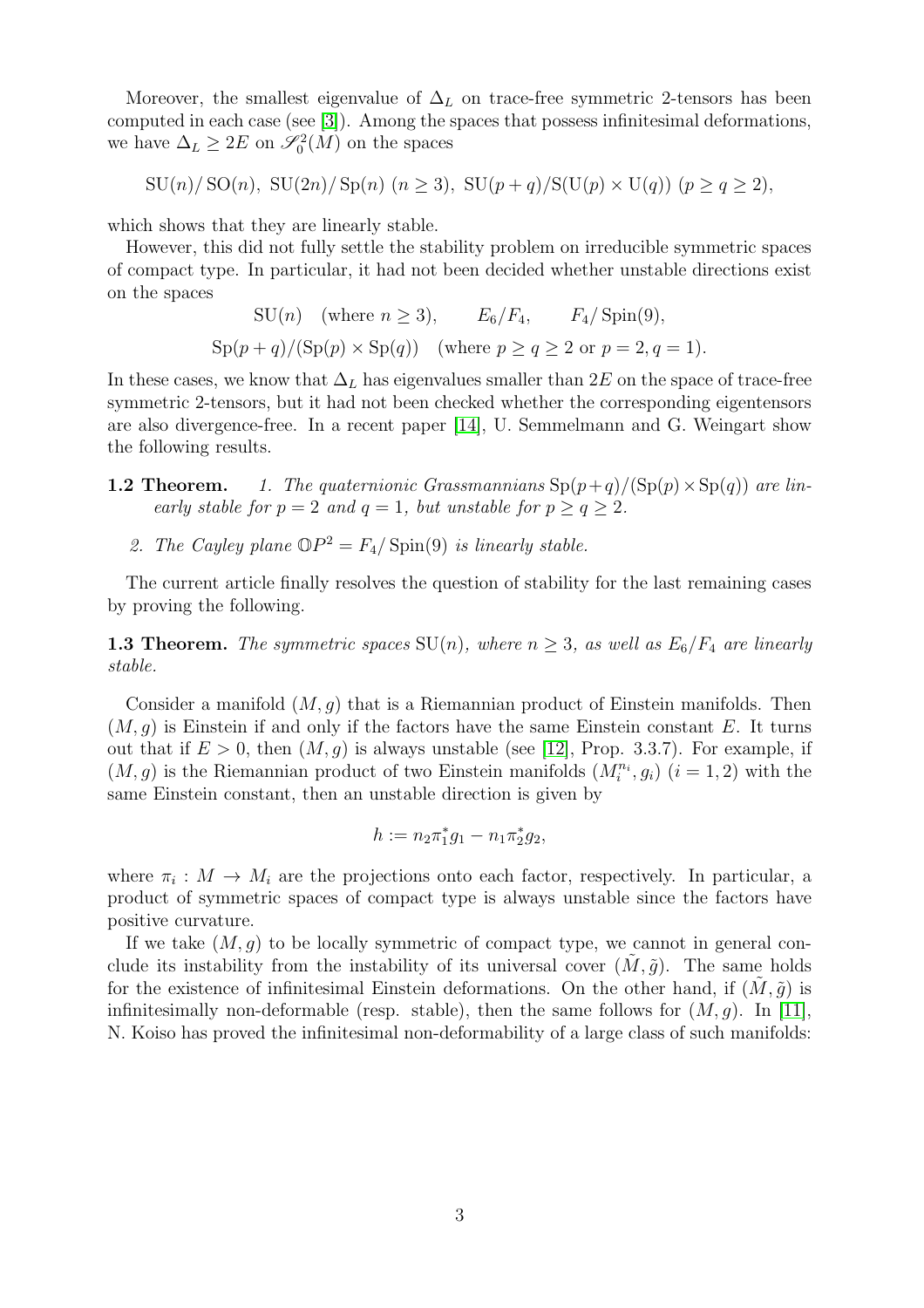Moreover, the smallest eigenvalue of  $\Delta_L$  on trace-free symmetric 2-tensors has been computed in each case (see [\[3\]](#page-25-3)). Among the spaces that possess infinitesimal deformations, we have  $\Delta_L \geq 2E$  on  $\mathscr{S}_0^2(M)$  on the spaces

 $SU(n)/SO(n)$ ,  $SU(2n)/Sp(n)$   $(n > 3)$ ,  $SU(p+q)/S(U(p) \times U(q))$   $(p > q > 2)$ ,

which shows that they are linearly stable.

However, this did not fully settle the stability problem on irreducible symmetric spaces of compact type. In particular, it had not been decided whether unstable directions exist on the spaces

$$
SU(n) \quad \text{(where } n \ge 3), \qquad E_6/F_4, \qquad F_4/\operatorname{Spin}(9),
$$
  
 
$$
\operatorname{Sp}(p+q)/(\operatorname{Sp}(p) \times \operatorname{Sp}(q)) \quad \text{(where } p \ge q \ge 2 \text{ or } p = 2, q = 1).
$$

In these cases, we know that  $\Delta_L$  has eigenvalues smaller than 2E on the space of trace-free symmetric 2-tensors, but it had not been checked whether the corresponding eigentensors are also divergence-free. In a recent paper [\[14\]](#page-25-4), U. Semmelmann and G. Weingart show the following results.

- **1.2 Theorem.** 1. The quaternionic Grassmannians  $\text{Sp}(p+q)/(\text{Sp}(p) \times \text{Sp}(q))$  are linearly stable for  $p = 2$  and  $q = 1$ , but unstable for  $p > q > 2$ .
	- 2. The Cayley plane  $\mathbb{O}P^2 = F_4/\operatorname{Spin}(9)$  is linearly stable.

The current article finally resolves the question of stability for the last remaining cases by proving the following.

**1.3 Theorem.** The symmetric spaces  $SU(n)$ , where  $n \geq 3$ , as well as  $E_6/F_4$  are linearly stable.

Consider a manifold  $(M, q)$  that is a Riemannian product of Einstein manifolds. Then  $(M, q)$  is Einstein if and only if the factors have the same Einstein constant E. It turns out that if  $E > 0$ , then  $(M, g)$  is always unstable (see [\[12\]](#page-25-5), Prop. 3.3.7). For example, if  $(M, g)$  is the Riemannian product of two Einstein manifolds  $(M_i^{n_i}, g_i)$   $(i = 1, 2)$  with the same Einstein constant, then an unstable direction is given by

$$
h := n_2 \pi_1^* g_1 - n_1 \pi_2^* g_2,
$$

where  $\pi_i : M \to M_i$  are the projections onto each factor, respectively. In particular, a product of symmetric spaces of compact type is always unstable since the factors have positive curvature.

If we take  $(M, q)$  to be locally symmetric of compact type, we cannot in general conclude its instability from the instability of its universal cover  $(M, \tilde{q})$ . The same holds for the existence of infinitesimal Einstein deformations. On the other hand, if  $(M, \tilde{g})$  is infinitesimally non-deformable (resp. stable), then the same follows for  $(M, g)$ . In [\[11\]](#page-25-6), N. Koiso has proved the infinitesimal non-deformability of a large class of such manifolds: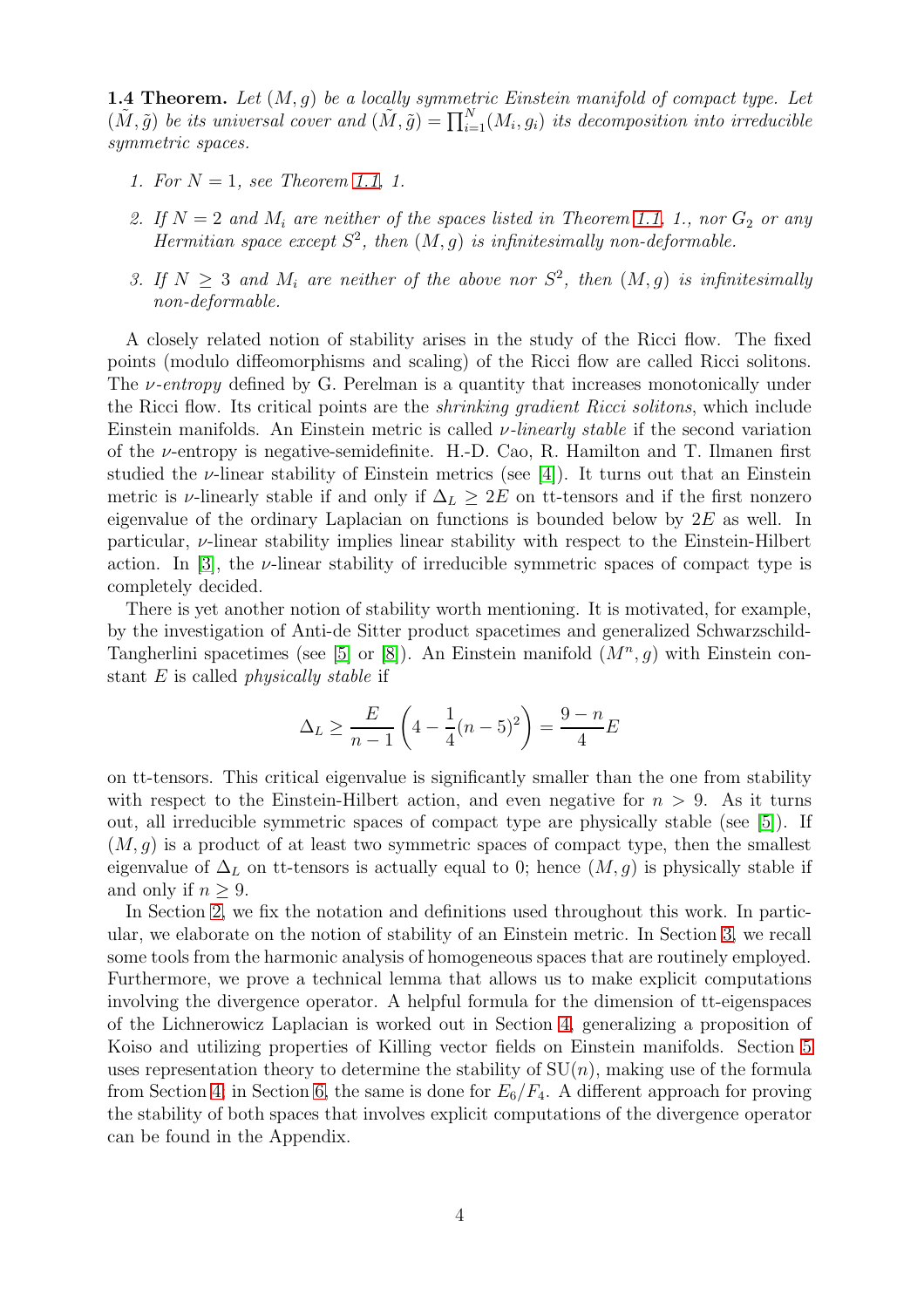**1.4 Theorem.** Let  $(M, g)$  be a locally symmetric Einstein manifold of compact type. Let  $(\tilde{M}, \tilde{g})$  be its universal cover and  $(\tilde{M}, \tilde{g}) = \prod_{i=1}^{N} (M_i, g_i)$  its decomposition into irreducible symmetric spaces.

- 1. For  $N = 1$ , see Theorem 1.1, 1.
- 2. If  $N = 2$  and  $M_i$  are neither of the spaces listed in Theorem 1.1, 1., nor  $G_2$  or any Hermitian space except  $S^2$ , then  $(M, g)$  is infinitesimally non-deformable.
- 3. If  $N \geq 3$  and  $M_i$  are neither of the above nor  $S^2$ , then  $(M, g)$  is infinitesimally non-deformable.

A closely related notion of stability arises in the study of the Ricci flow. The fixed points (modulo diffeomorphisms and scaling) of the Ricci flow are called Ricci solitons. The *v*-entropy defined by G. Perelman is a quantity that increases monotonically under the Ricci flow. Its critical points are the shrinking gradient Ricci solitons, which include Einstein manifolds. An Einstein metric is called  $\nu$ -linearly stable if the second variation of the  $\nu$ -entropy is negative-semidefinite. H.-D. Cao, R. Hamilton and T. Ilmanen first studied the  $\nu$ -linear stability of Einstein metrics (see [\[4\]](#page-25-7)). It turns out that an Einstein metric is v-linearly stable if and only if  $\Delta_L \geq 2E$  on tt-tensors and if the first nonzero eigenvalue of the ordinary Laplacian on functions is bounded below by  $2E$  as well. In particular, ν-linear stability implies linear stability with respect to the Einstein-Hilbert action. In [\[3\]](#page-25-3), the  $\nu$ -linear stability of irreducible symmetric spaces of compact type is completely decided.

There is yet another notion of stability worth mentioning. It is motivated, for example, by the investigation of Anti-de Sitter product spacetimes and generalized Schwarzschild-Tangherlini spacetimes (see [\[5\]](#page-25-8) or [\[8\]](#page-25-9)). An Einstein manifold  $(M^n, g)$  with Einstein constant E is called physically stable if

$$
\Delta_L \ge \frac{E}{n-1} \left( 4 - \frac{1}{4} (n-5)^2 \right) = \frac{9-n}{4} E
$$

on tt-tensors. This critical eigenvalue is significantly smaller than the one from stability with respect to the Einstein-Hilbert action, and even negative for  $n > 9$ . As it turns out, all irreducible symmetric spaces of compact type are physically stable (see [\[5\]](#page-25-8)). If  $(M, g)$  is a product of at least two symmetric spaces of compact type, then the smallest eigenvalue of  $\Delta_L$  on tt-tensors is actually equal to 0; hence  $(M, g)$  is physically stable if and only if  $n > 9$ .

In Section [2,](#page-4-0) we fix the notation and definitions used throughout this work. In particular, we elaborate on the notion of stability of an Einstein metric. In Section [3,](#page-6-0) we recall some tools from the harmonic analysis of homogeneous spaces that are routinely employed. Furthermore, we prove a technical lemma that allows us to make explicit computations involving the divergence operator. A helpful formula for the dimension of tt-eigenspaces of the Lichnerowicz Laplacian is worked out in Section [4,](#page-9-0) generalizing a proposition of Koiso and utilizing properties of Killing vector fields on Einstein manifolds. Section [5](#page-10-0) uses representation theory to determine the stability of  $SU(n)$ , making use of the formula from Section [4;](#page-9-0) in Section [6,](#page-14-0) the same is done for  $E_6/F_4$ . A different approach for proving the stability of both spaces that involves explicit computations of the divergence operator can be found in the Appendix.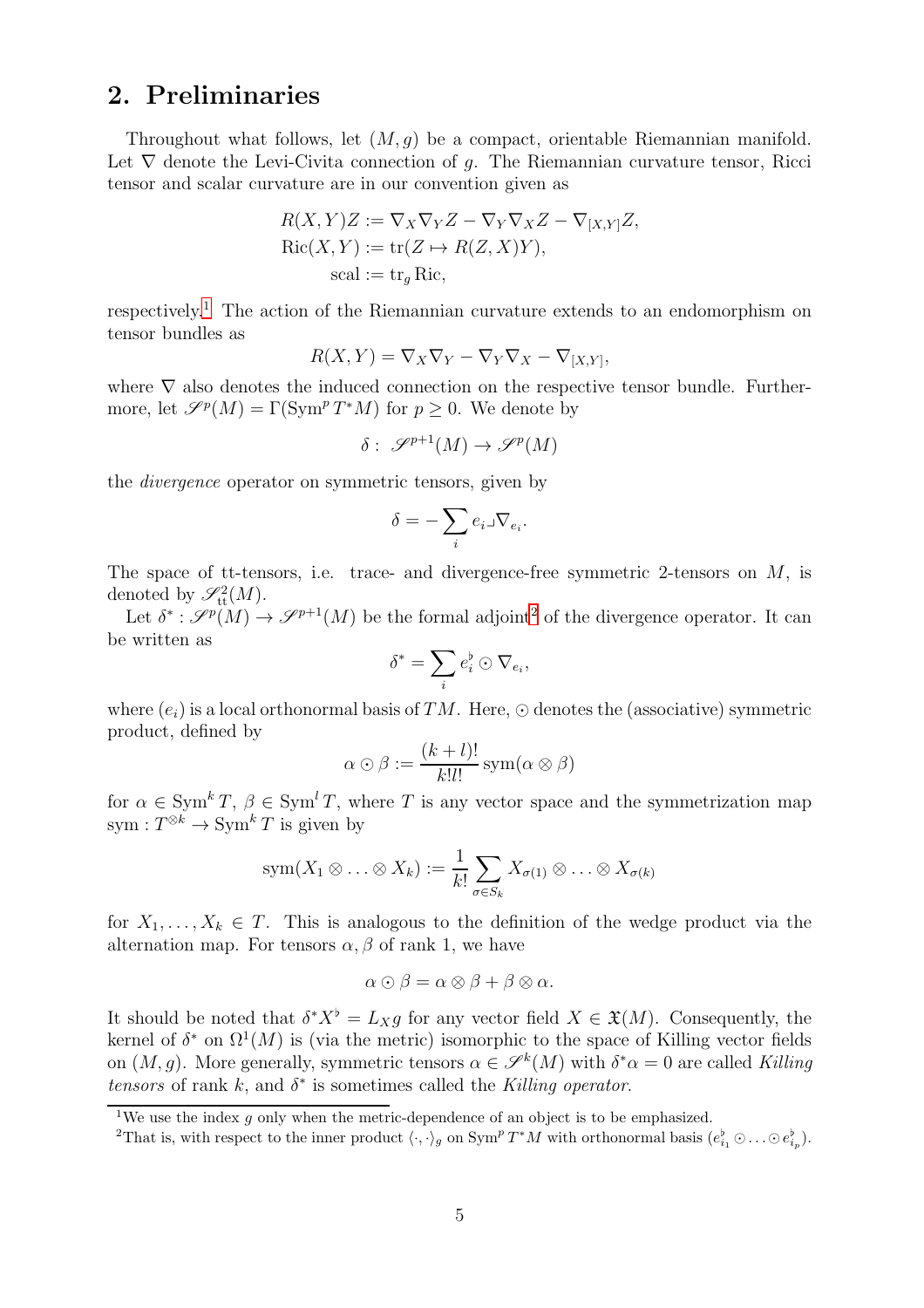### <span id="page-4-0"></span>2. Preliminaries

Throughout what follows, let  $(M, g)$  be a compact, orientable Riemannian manifold. Let  $\nabla$  denote the Levi-Civita connection of q. The Riemannian curvature tensor, Ricci tensor and scalar curvature are in our convention given as

$$
R(X,Y)Z := \nabla_X \nabla_Y Z - \nabla_Y \nabla_X Z - \nabla_{[X,Y]} Z,
$$
  
 
$$
Ric(X,Y) := \text{tr}(Z \mapsto R(Z,X)Y),
$$
  
 
$$
\text{scal} := \text{tr}_g \text{Ric},
$$

respectively.[1](#page-4-1) The action of the Riemannian curvature extends to an endomorphism on tensor bundles as

$$
R(X,Y) = \nabla_X \nabla_Y - \nabla_Y \nabla_X - \nabla_{[X,Y]},
$$

where  $\nabla$  also denotes the induced connection on the respective tensor bundle. Furthermore, let  $\mathscr{S}^p(M) = \Gamma(\text{Sym}^p T^*M)$  for  $p \geq 0$ . We denote by

$$
\delta: \mathscr{S}^{p+1}(M) \to \mathscr{S}^p(M)
$$

the divergence operator on symmetric tensors, given by

$$
\delta = -\sum_i e_i \lrcorner \nabla_{e_i}.
$$

The space of tt-tensors, i.e. trace- and divergence-free symmetric 2-tensors on  $M$ , is denoted by  $\mathscr{S}^2_{\text{tt}}(M)$ .

Let  $\delta^*: \mathscr{S}^p(M) \to \mathscr{S}^{p+1}(M)$  be the formal adjoint<sup>[2](#page-4-2)</sup> of the divergence operator. It can be written as

$$
\delta^* = \sum_i e_i^{\flat} \odot \nabla_{e_i},
$$

where  $(e_i)$  is a local orthonormal basis of TM. Here,  $\odot$  denotes the (associative) symmetric product, defined by

$$
\alpha \odot \beta := \frac{(k+l)!}{k!l!} \operatorname{sym}(\alpha \otimes \beta)
$$

for  $\alpha \in \text{Sym}^k T$ ,  $\beta \in \text{Sym}^l T$ , where T is any vector space and the symmetrization map sym :  $T^{\otimes k} \to \text{Sym}^k T$  is given by

$$
sym(X_1 \otimes \ldots \otimes X_k) := \frac{1}{k!} \sum_{\sigma \in S_k} X_{\sigma(1)} \otimes \ldots \otimes X_{\sigma(k)}
$$

for  $X_1, \ldots, X_k \in T$ . This is analogous to the definition of the wedge product via the alternation map. For tensors  $\alpha$ ,  $\beta$  of rank 1, we have

$$
\alpha \odot \beta = \alpha \otimes \beta + \beta \otimes \alpha.
$$

It should be noted that  $\delta^* X^{\flat} = L_X g$  for any vector field  $X \in \mathfrak{X}(M)$ . Consequently, the kernel of  $\delta^*$  on  $\Omega^1(M)$  is (via the metric) isomorphic to the space of Killing vector fields on  $(M, g)$ . More generally, symmetric tensors  $\alpha \in \mathscr{S}^k(M)$  with  $\delta^* \alpha = 0$  are called Killing tensors of rank  $k$ , and  $\delta^*$  is sometimes called the Killing operator.

<sup>&</sup>lt;sup>1</sup>We use the index q only when the metric-dependence of an object is to be emphasized.

<span id="page-4-2"></span><span id="page-4-1"></span><sup>&</sup>lt;sup>2</sup>That is, with respect to the inner product  $\langle \cdot, \cdot \rangle_g$  on  $\text{Sym}^p T^*M$  with orthonormal basis  $(e_{i_1}^{\flat} \odot \ldots \odot e_{i_p}^{\flat})$ .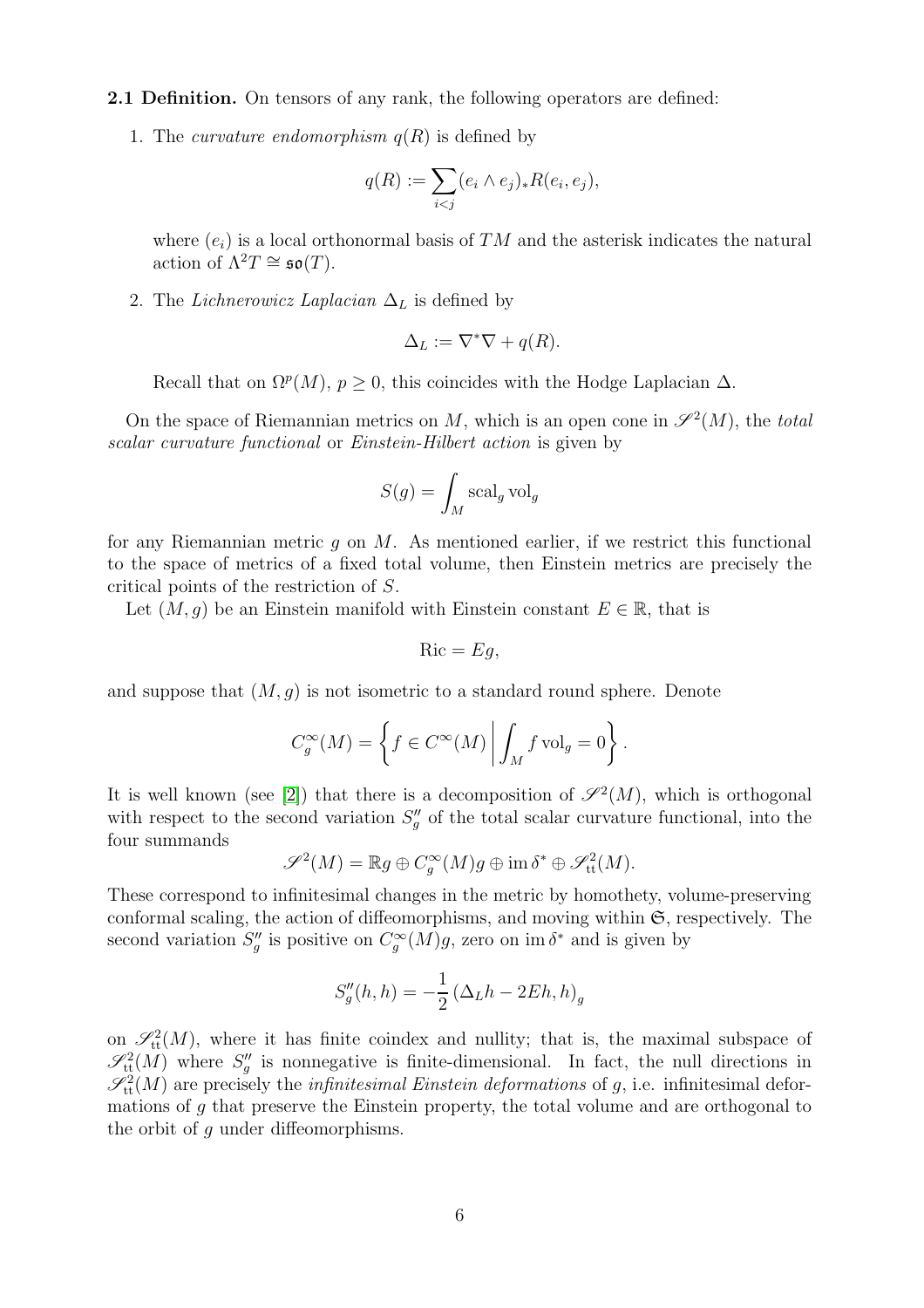2.1 Definition. On tensors of any rank, the following operators are defined:

1. The *curvature endomorphism*  $q(R)$  is defined by

$$
q(R) := \sum_{i < j} (e_i \wedge e_j)_* R(e_i, e_j),
$$

where  $(e_i)$  is a local orthonormal basis of TM and the asterisk indicates the natural action of  $\Lambda^2 T \cong \mathfrak{so}(T)$ .

2. The *Lichnerowicz Laplacian*  $\Delta_L$  is defined by

$$
\Delta_L := \nabla^* \nabla + q(R).
$$

Recall that on  $\Omega^p(M)$ ,  $p \geq 0$ , this coincides with the Hodge Laplacian  $\Delta$ .

On the space of Riemannian metrics on M, which is an open cone in  $\mathscr{S}^2(M)$ , the total scalar curvature functional or Einstein-Hilbert action is given by

$$
S(g) = \int_M \operatorname{scal}_g \operatorname{vol}_g
$$

for any Riemannian metric q on  $M$ . As mentioned earlier, if we restrict this functional to the space of metrics of a fixed total volume, then Einstein metrics are precisely the critical points of the restriction of S.

Let  $(M, g)$  be an Einstein manifold with Einstein constant  $E \in \mathbb{R}$ , that is

$$
Ric = Eg,
$$

and suppose that  $(M, g)$  is not isometric to a standard round sphere. Denote

$$
C_g^{\infty}(M) = \left\{ f \in C^{\infty}(M) \middle| \int_M f \text{ vol}_g = 0 \right\}.
$$

It is well known (see [\[2\]](#page-25-0)) that there is a decomposition of  $\mathscr{S}^2(M)$ , which is orthogonal with respect to the second variation  $S''_g$  of the total scalar curvature functional, into the four summands

$$
\mathscr{S}^2(M) = \mathbb{R}g \oplus C_g^{\infty}(M)g \oplus \text{im } \delta^* \oplus \mathscr{S}^2_{\text{tt}}(M).
$$

These correspond to infinitesimal changes in the metric by homothety, volume-preserving conformal scaling, the action of diffeomorphisms, and moving within  $\mathfrak{S}$ , respectively. The second variation  $S''_g$  is positive on  $C_g^{\infty}(M)g$ , zero on im  $\delta^*$  and is given by

$$
S_g''(h,h) = -\frac{1}{2} \left(\Delta_L h - 2Eh, h\right)_g
$$

on  $\mathscr{S}^2_{\text{tt}}(M)$ , where it has finite coindex and nullity; that is, the maximal subspace of  $\mathscr{S}^2_{\text{tt}}(M)$  where  $S''_g$  is nonnegative is finite-dimensional. In fact, the null directions in  $\mathscr{S}_{\text{tt}}^2(M)$  are precisely the *infinitesimal Einstein deformations* of g, i.e. infinitesimal deformations of g that preserve the Einstein property, the total volume and are orthogonal to the orbit of g under diffeomorphisms.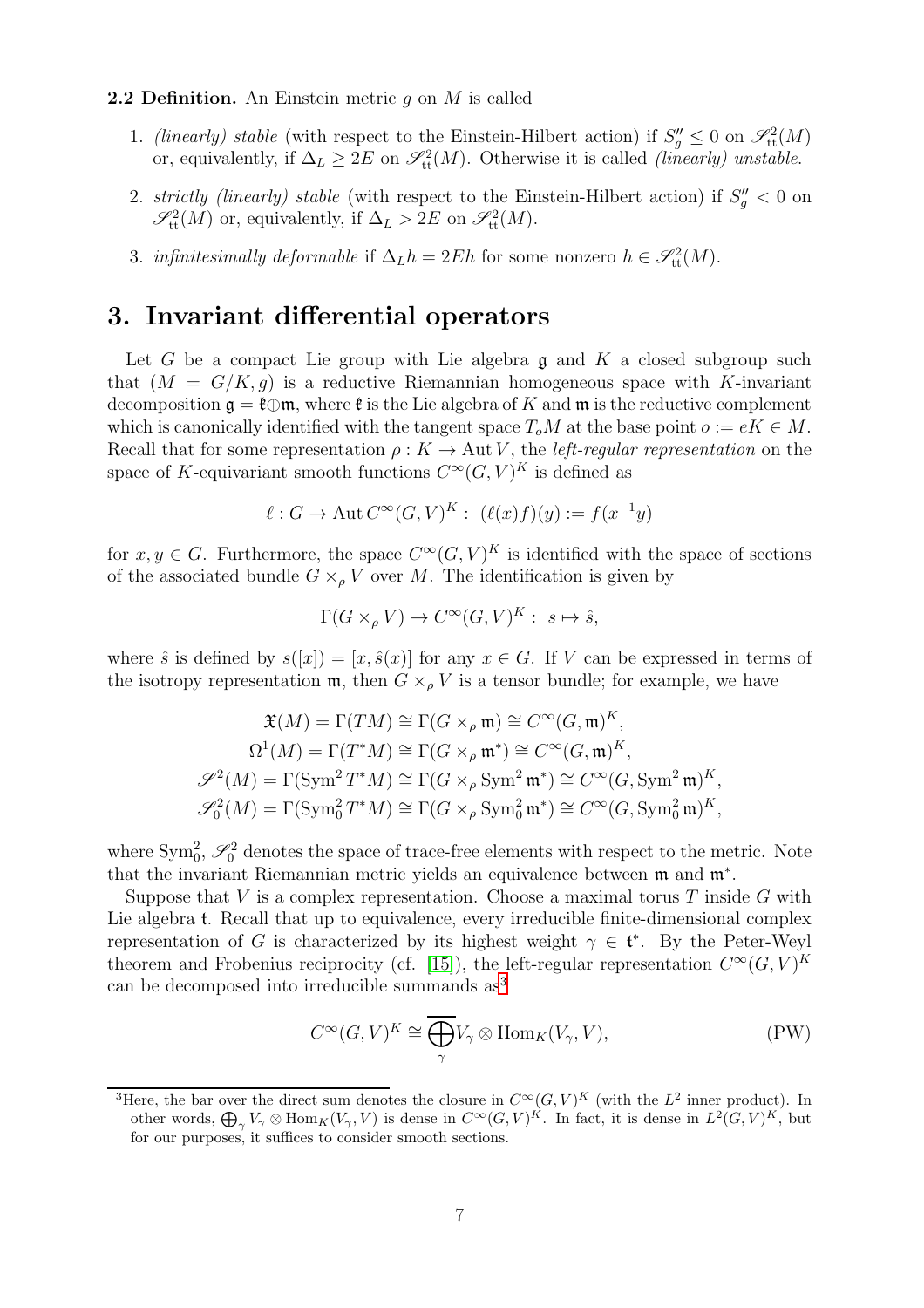#### **2.2 Definition.** An Einstein metric q on  $M$  is called

- 1. (linearly) stable (with respect to the Einstein-Hilbert action) if  $S''_g \leq 0$  on  $\mathscr{S}^2_{\text{tt}}(M)$ or, equivalently, if  $\Delta_L \geq 2E$  on  $\mathscr{S}^2_{tt}(M)$ . Otherwise it is called *(linearly) unstable.*
- 2. strictly (linearly) stable (with respect to the Einstein-Hilbert action) if  $S''_g < 0$  on  $\mathscr{S}_\text{tt}^2(M)$  or, equivalently, if  $\Delta_L > 2E$  on  $\mathscr{S}_\text{tt}^2(M)$ .
- 3. infinitesimally deformable if  $\Delta_L h = 2Eh$  for some nonzero  $h \in \mathscr{S}^2_{\text{tt}}(M)$ .

#### <span id="page-6-0"></span>3. Invariant differential operators

Let G be a compact Lie group with Lie algebra  $\mathfrak g$  and K a closed subgroup such that  $(M = G/K, g)$  is a reductive Riemannian homogeneous space with K-invariant decomposition  $\mathfrak{g} = \mathfrak{k} \oplus \mathfrak{m}$ , where  $\mathfrak{k}$  is the Lie algebra of K and  $\mathfrak{m}$  is the reductive complement which is canonically identified with the tangent space  $T_oM$  at the base point  $o := eK \in M$ . Recall that for some representation  $\rho: K \to \text{Aut } V$ , the *left-regular representation* on the space of K-equivariant smooth functions  $C^{\infty}(G, V)^K$  is defined as

$$
\ell: G \to \text{Aut } C^{\infty}(G, V)^K: \ (\ell(x)f)(y) := f(x^{-1}y)
$$

for  $x, y \in G$ . Furthermore, the space  $C^{\infty}(G, V)^K$  is identified with the space of sections of the associated bundle  $G \times_{\rho} V$  over M. The identification is given by

$$
\Gamma(G\times_{\rho}V)\to C^{\infty}(G,V)^{K}:\ s\mapsto \hat{s},
$$

where  $\hat{s}$  is defined by  $s([x]) = [x, \hat{s}(x)]$  for any  $x \in G$ . If V can be expressed in terms of the isotropy representation  $\mathfrak{m}$ , then  $G \times_{\rho} V$  is a tensor bundle; for example, we have

$$
\mathfrak{X}(M) = \Gamma(TM) \cong \Gamma(G \times_{\rho} \mathfrak{m}) \cong C^{\infty}(G, \mathfrak{m})^K,
$$
  
\n
$$
\Omega^1(M) = \Gamma(T^*M) \cong \Gamma(G \times_{\rho} \mathfrak{m}^*) \cong C^{\infty}(G, \mathfrak{m})^K,
$$
  
\n
$$
\mathscr{S}^2(M) = \Gamma(\text{Sym}^2 T^*M) \cong \Gamma(G \times_{\rho} \text{Sym}^2 \mathfrak{m}^*) \cong C^{\infty}(G, \text{Sym}^2 \mathfrak{m})^K,
$$
  
\n
$$
\mathscr{S}^2_0(M) = \Gamma(\text{Sym}^2_0 T^*M) \cong \Gamma(G \times_{\rho} \text{Sym}^2_0 \mathfrak{m}^*) \cong C^{\infty}(G, \text{Sym}^2_0 \mathfrak{m})^K,
$$

where  $\text{Sym}^2_0$ ,  $\mathscr{S}^2_0$  denotes the space of trace-free elements with respect to the metric. Note that the invariant Riemannian metric yields an equivalence between m and m<sup>∗</sup> .

Suppose that  $V$  is a complex representation. Choose a maximal torus  $T$  inside  $G$  with Lie algebra t. Recall that up to equivalence, every irreducible finite-dimensional complex representation of G is characterized by its highest weight  $\gamma \in \mathfrak{t}^*$ . By the Peter-Weyl theorem and Frobenius reciprocity (cf. [\[15\]](#page-25-10)), the left-regular representation  $C^{\infty}(G, V)^K$ can be decomposed into irreducible summands as[3](#page-6-1)

<span id="page-6-2"></span>
$$
C^{\infty}(G, V)^K \cong \overline{\bigoplus_{\gamma}} V_{\gamma} \otimes \text{Hom}_K(V_{\gamma}, V), \tag{PW}
$$

<span id="page-6-1"></span><sup>&</sup>lt;sup>3</sup>Here, the bar over the direct sum denotes the closure in  $C^{\infty}(G, V)^K$  (with the  $L^2$  inner product). In other words,  $\bigoplus_{\gamma} V_{\gamma} \otimes \text{Hom}_K(V_{\gamma}, V)$  is dense in  $C^{\infty}(G, V)^K$ . In fact, it is dense in  $L^2(G, V)^K$ , but for our purposes, it suffices to consider smooth sections.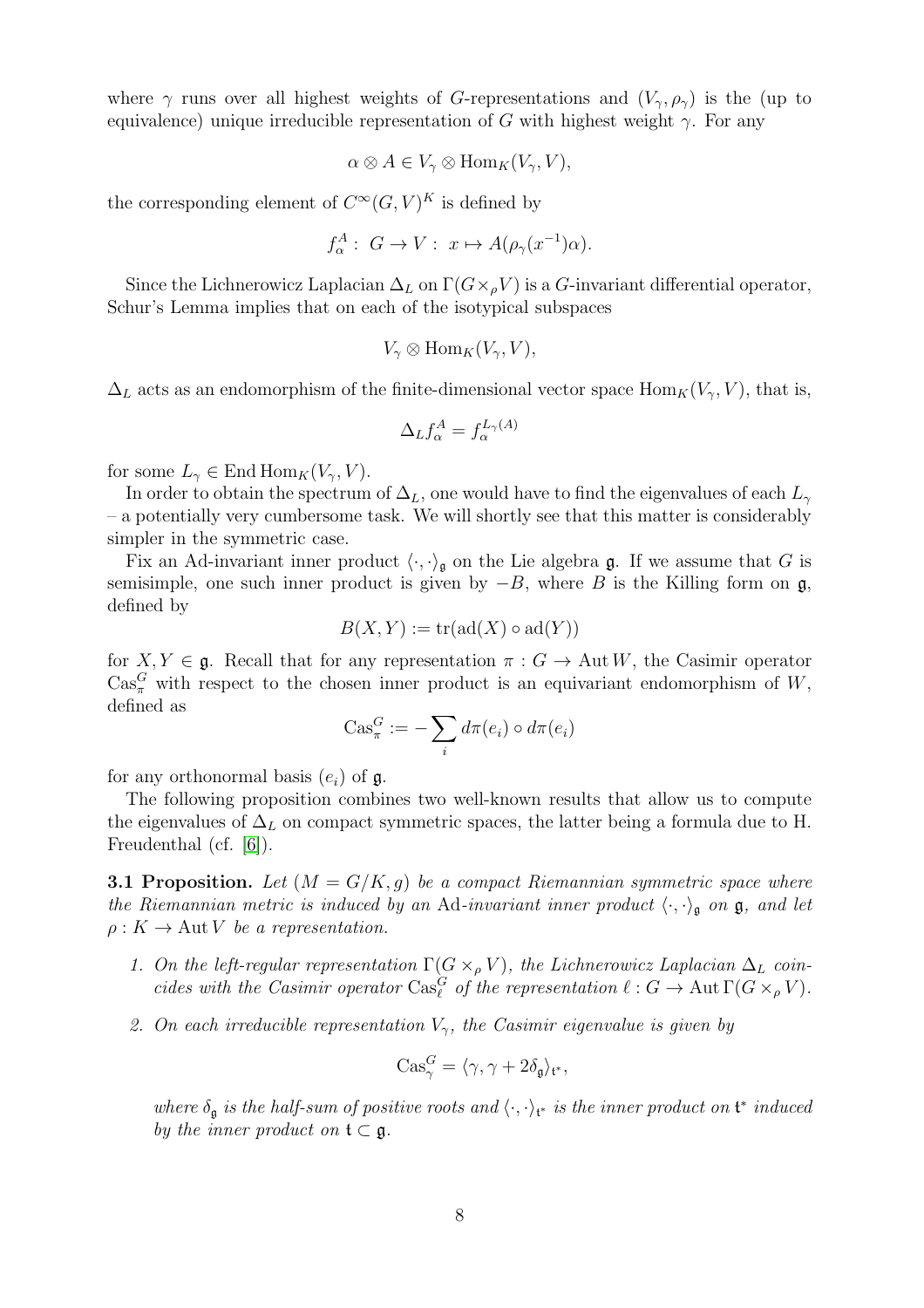where  $\gamma$  runs over all highest weights of G-representations and  $(V_{\gamma}, \rho_{\gamma})$  is the (up to equivalence) unique irreducible representation of G with highest weight  $\gamma$ . For any

$$
\alpha \otimes A \in V_{\gamma} \otimes \text{Hom}_K(V_{\gamma}, V),
$$

the corresponding element of  $C^{\infty}(G, V)^K$  is defined by

$$
f_{\alpha}^A: G \to V: x \mapsto A(\rho_{\gamma}(x^{-1})\alpha).
$$

Since the Lichnerowicz Laplacian  $\Delta_L$  on  $\Gamma(G\times_{\rho}V)$  is a G-invariant differential operator, Schur's Lemma implies that on each of the isotypical subspaces

$$
V_{\gamma} \otimes \text{Hom}_K(V_{\gamma}, V),
$$

 $\Delta_L$  acts as an endomorphism of the finite-dimensional vector space Hom<sub>K</sub>( $V_\gamma$ , V), that is,

$$
\Delta_L f_\alpha^A = f_\alpha^{L_\gamma(A)}
$$

for some  $L_{\gamma} \in \text{End Hom}_{K}(V_{\gamma}, V)$ .

In order to obtain the spectrum of  $\Delta_L$ , one would have to find the eigenvalues of each  $L_{\gamma}$ – a potentially very cumbersome task. We will shortly see that this matter is considerably simpler in the symmetric case.

Fix an Ad-invariant inner product  $\langle \cdot, \cdot \rangle_{\mathfrak{g}}$  on the Lie algebra g. If we assume that G is semisimple, one such inner product is given by  $-B$ , where B is the Killing form on  $\mathfrak{g}$ , defined by

$$
B(X,Y) := \operatorname{tr}(\operatorname{ad}(X) \circ \operatorname{ad}(Y))
$$

for  $X, Y \in \mathfrak{g}$ . Recall that for any representation  $\pi : G \to \text{Aut } W$ , the Casimir operator  $\text{Cas}_{\pi}^G$  with respect to the chosen inner product is an equivariant endomorphism of W, defined as

$$
\mathrm{Cas}_\pi^G:=-\sum_i d\pi(e_i)\circ d\pi(e_i)
$$

for any orthonormal basis  $(e_i)$  of  $\mathfrak{g}$ .

The following proposition combines two well-known results that allow us to compute the eigenvalues of  $\Delta_L$  on compact symmetric spaces, the latter being a formula due to H. Freudenthal (cf. [\[6\]](#page-25-11)).

**3.1 Proposition.** Let  $(M = G/K, g)$  be a compact Riemannian symmetric space where the Riemannian metric is induced by an Ad-invariant inner product  $\langle \cdot, \cdot \rangle_{\mathfrak{g}}$  on  $\mathfrak{g}$ , and let  $\rho: K \to \text{Aut } V$  be a representation.

- 1. On the left-regular representation  $\Gamma(G \times_{\rho} V)$ , the Lichnerowicz Laplacian  $\Delta_L$  coincides with the Casimir operator  $\text{Cas}_{\ell}^G$  of the representation  $\ell: G \to \text{Aut } \Gamma(G \times_{\rho} V)$ .
- 2. On each irreducible representation  $V_{\gamma}$ , the Casimir eigenvalue is given by

$$
\text{Cas}_\gamma^G = \langle \gamma, \gamma + 2\delta_{\mathfrak{g}} \rangle_{\mathfrak{t}^*},
$$

where  $\delta_{\mathfrak{g}}$  is the half-sum of positive roots and  $\langle \cdot, \cdot \rangle_{\mathfrak{t}^*}$  is the inner product on  $\mathfrak{t}^*$  induced by the inner product on  $\mathfrak{t} \subset \mathfrak{g}$ .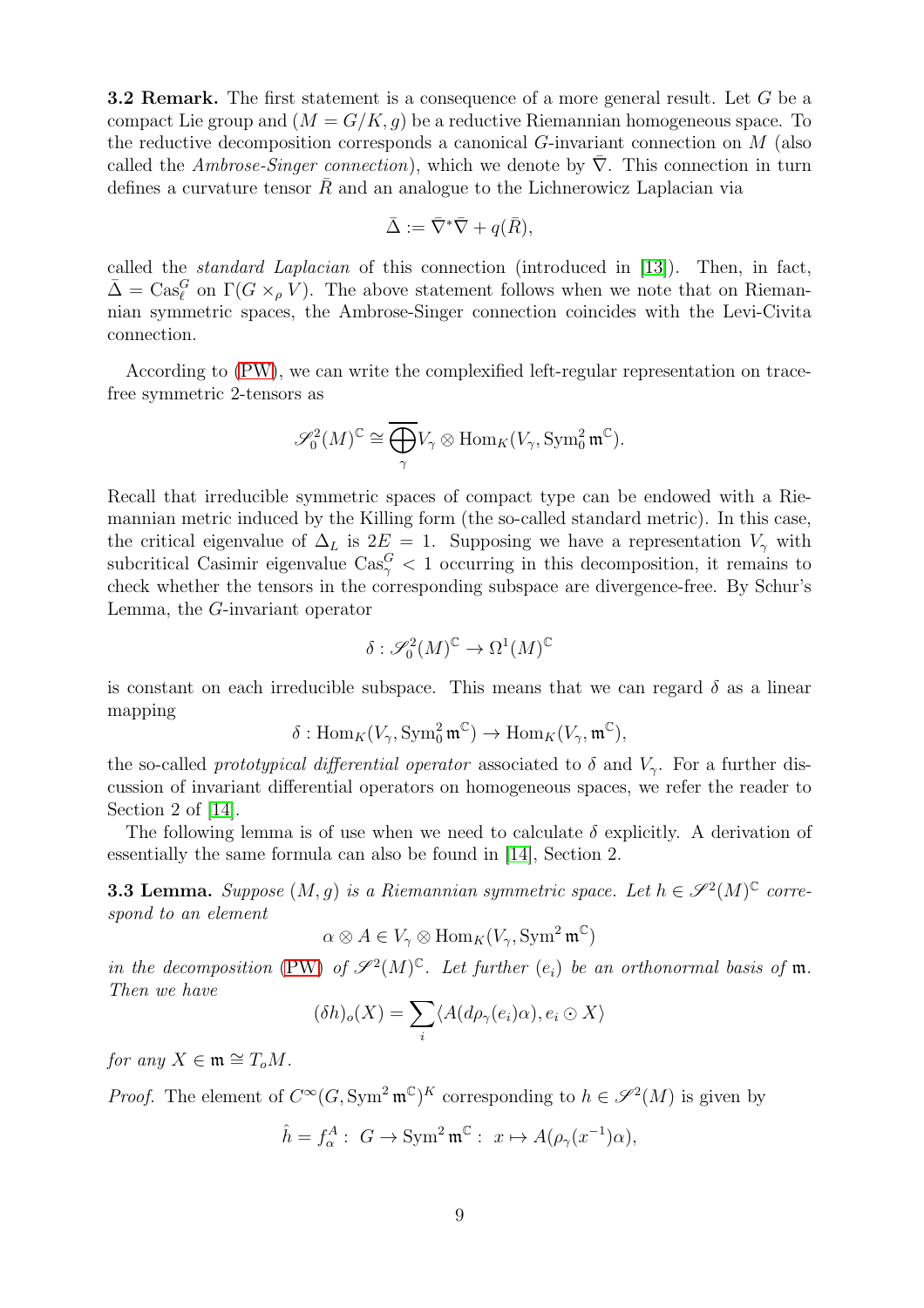**3.2 Remark.** The first statement is a consequence of a more general result. Let G be a compact Lie group and  $(M = G/K, q)$  be a reductive Riemannian homogeneous space. To the reductive decomposition corresponds a canonical G-invariant connection on M (also called the Ambrose-Singer connection), which we denote by  $\nabla$ . This connection in turn defines a curvature tensor  $\overline{R}$  and an analogue to the Lichnerowicz Laplacian via

$$
\bar{\Delta} := \bar{\nabla}^* \bar{\nabla} + q(\bar{R}),
$$

called the standard Laplacian of this connection (introduced in [\[13\]](#page-25-12)). Then, in fact,  $\bar{\Delta} = \text{Cas}_{\ell}^G$  on  $\Gamma(G \times_{\rho} V)$ . The above statement follows when we note that on Riemannian symmetric spaces, the Ambrose-Singer connection coincides with the Levi-Civita connection.

According to [\(PW\)](#page-6-2), we can write the complexified left-regular representation on tracefree symmetric 2-tensors as

$$
\mathscr{S}_0^2(M)^{\mathbb{C}} \cong \overline{\bigoplus_{\gamma}} V_{\gamma} \otimes \text{Hom}_K(V_{\gamma}, \text{Sym}^2_0 \mathfrak{m}^{\mathbb{C}}).
$$

Recall that irreducible symmetric spaces of compact type can be endowed with a Riemannian metric induced by the Killing form (the so-called standard metric). In this case, the critical eigenvalue of  $\Delta_L$  is  $2E = 1$ . Supposing we have a representation  $V_\gamma$  with subcritical Casimir eigenvalue  $\text{Cas}_{\gamma}^G < 1$  occurring in this decomposition, it remains to check whether the tensors in the corresponding subspace are divergence-free. By Schur's Lemma, the G-invariant operator

$$
\delta: \mathcal{S}_0^2(M)^\mathbb{C} \to \Omega^1(M)^\mathbb{C}
$$

is constant on each irreducible subspace. This means that we can regard  $\delta$  as a linear mapping

$$
\delta: \mathrm{Hom}_K(V_\gamma, \mathrm{Sym}^2_0 \mathfrak{m}^\mathbb{C}) \to \mathrm{Hom}_K(V_\gamma, \mathfrak{m}^\mathbb{C}),
$$

the so-called prototypical differential operator associated to  $\delta$  and  $V_{\gamma}$ . For a further discussion of invariant differential operators on homogeneous spaces, we refer the reader to Section 2 of [\[14\]](#page-25-4).

The following lemma is of use when we need to calculate  $\delta$  explicitly. A derivation of essentially the same formula can also be found in [\[14\]](#page-25-4), Section 2.

<span id="page-8-0"></span>**3.3 Lemma.** Suppose  $(M, g)$  is a Riemannian symmetric space. Let  $h \in \mathscr{S}^2(M)^\mathbb{C}$  correspond to an element

$$
\alpha \otimes A \in V_{\gamma} \otimes \text{Hom}_K(V_{\gamma}, \text{Sym}^2 \mathfrak{m}^{\mathbb{C}})
$$

in the decomposition [\(PW\)](#page-6-2) of  $\mathscr{S}^2(M)^\mathbb{C}$ . Let further  $(e_i)$  be an orthonormal basis of  $\mathfrak{m}$ . Then we have

$$
(\delta h)_o(X) = \sum_i \langle A(d\rho_\gamma(e_i)\alpha), e_i \odot X \rangle
$$

for any  $X \in \mathfrak{m} \cong T_oM$ .

*Proof.* The element of  $C^{\infty}(G, Sym^2 \mathfrak{m}^{\mathbb{C}})^K$  corresponding to  $h \in \mathscr{S}^2(M)$  is given by

$$
\hat{h} = f_{\alpha}^{A} : G \to \text{Sym}^{2} \mathfrak{m}^{\mathbb{C}} : x \mapsto A(\rho_{\gamma}(x^{-1})\alpha),
$$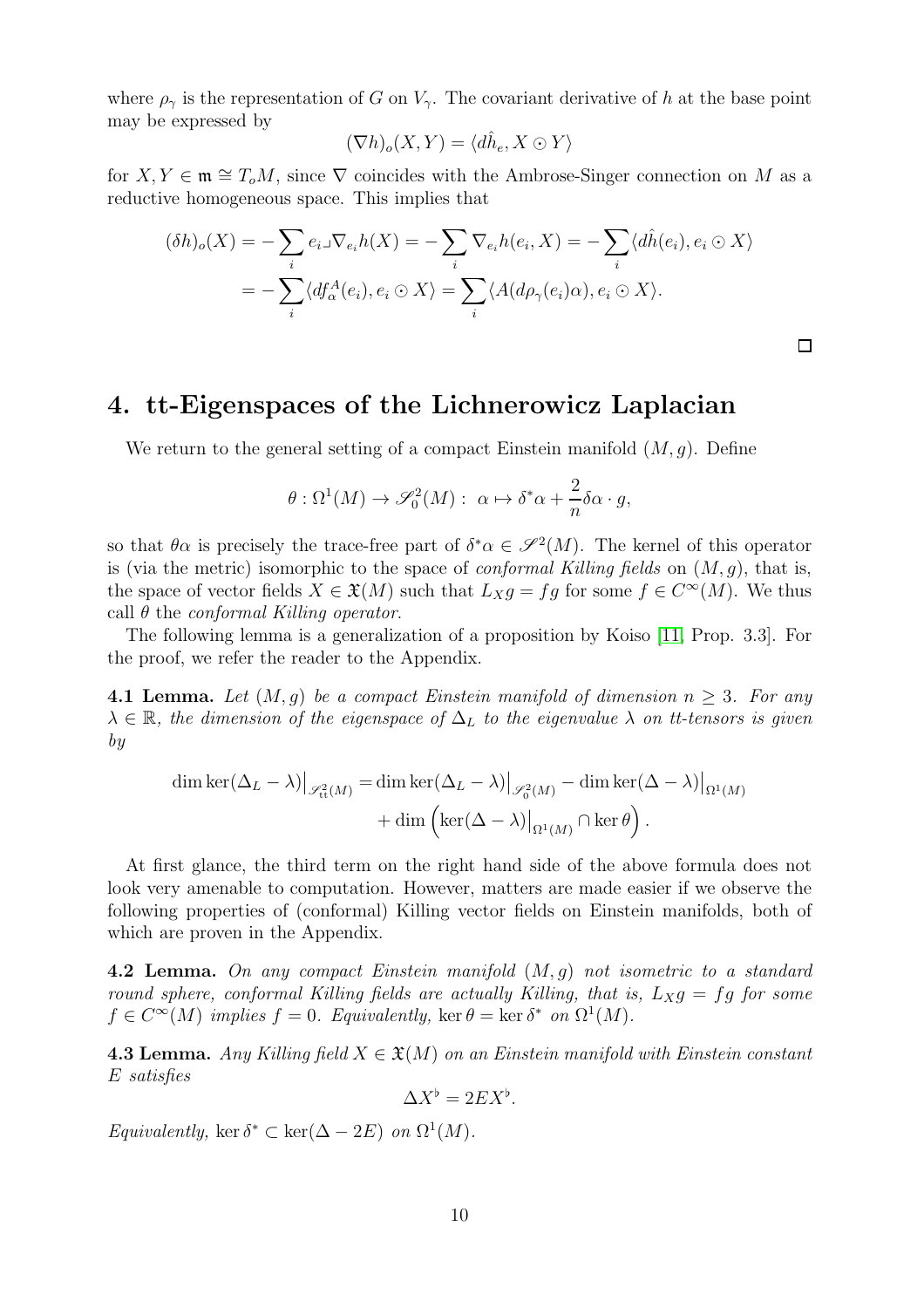where  $\rho_{\gamma}$  is the representation of G on  $V_{\gamma}$ . The covariant derivative of h at the base point may be expressed by

$$
(\nabla h)_o(X,Y) = \langle d\hat{h}_e, X \odot Y \rangle
$$

for  $X, Y \in \mathfrak{m} \cong T_oM$ , since  $\nabla$  coincides with the Ambrose-Singer connection on M as a reductive homogeneous space. This implies that

$$
(\delta h)_o(X) = -\sum_i e_i \mathcal{J}e_i h(X) = -\sum_i \nabla_{e_i} h(e_i, X) = -\sum_i \langle d\hat{h}(e_i), e_i \odot X \rangle
$$
  
= 
$$
-\sum_i \langle df^A_\alpha(e_i), e_i \odot X \rangle = \sum_i \langle A(d\rho_\gamma(e_i)\alpha), e_i \odot X \rangle.
$$

 $\Box$ 

## <span id="page-9-0"></span>4. tt-Eigenspaces of the Lichnerowicz Laplacian

We return to the general setting of a compact Einstein manifold  $(M, g)$ . Define

$$
\theta : \Omega^1(M) \to \mathscr{S}_0^2(M) : \ \alpha \mapsto \delta^* \alpha + \frac{2}{n} \delta \alpha \cdot g,
$$

so that  $\theta \alpha$  is precisely the trace-free part of  $\delta^* \alpha \in \mathscr{S}^2(M)$ . The kernel of this operator is (via the metric) isomorphic to the space of *conformal Killing fields* on  $(M, q)$ , that is, the space of vector fields  $X \in \mathfrak{X}(M)$  such that  $L_X g = fg$  for some  $f \in C^{\infty}(M)$ . We thus call  $\theta$  the *conformal Killing operator*.

The following lemma is a generalization of a proposition by Koiso [\[11,](#page-25-6) Prop. 3.3]. For the proof, we refer the reader to the Appendix.

<span id="page-9-1"></span>**4.1 Lemma.** Let  $(M, g)$  be a compact Einstein manifold of dimension  $n \geq 3$ . For any  $\lambda \in \mathbb{R}$ , the dimension of the eigenspace of  $\Delta_L$  to the eigenvalue  $\lambda$  on tt-tensors is given by

$$
\dim \ker(\Delta_L - \lambda)|_{\mathscr{S}_{\text{tt}}^2(M)} = \dim \ker(\Delta_L - \lambda)|_{\mathscr{S}_0^2(M)} - \dim \ker(\Delta - \lambda)|_{\Omega^1(M)} + \dim \left( \ker(\Delta - \lambda)|_{\Omega^1(M)} \cap \ker \theta \right).
$$

At first glance, the third term on the right hand side of the above formula does not look very amenable to computation. However, matters are made easier if we observe the following properties of (conformal) Killing vector fields on Einstein manifolds, both of which are proven in the Appendix.

<span id="page-9-2"></span>**4.2 Lemma.** On any compact Einstein manifold  $(M, q)$  not isometric to a standard round sphere, conformal Killing fields are actually Killing, that is,  $L_X g = f g$  for some  $f \in C^{\infty}(M)$  implies  $f = 0$ . Equivalently, ker  $\theta = \text{ker } \delta^*$  on  $\Omega^1(M)$ .

<span id="page-9-3"></span>4.3 Lemma. Any Killing field  $X \in \mathfrak{X}(M)$  on an Einstein manifold with Einstein constant E satisfies

$$
\Delta X^{\flat} = 2EX^{\flat}.
$$

Equivalently, ker  $\delta^* \subset \text{ker}(\Delta - 2E)$  on  $\Omega^1(M)$ .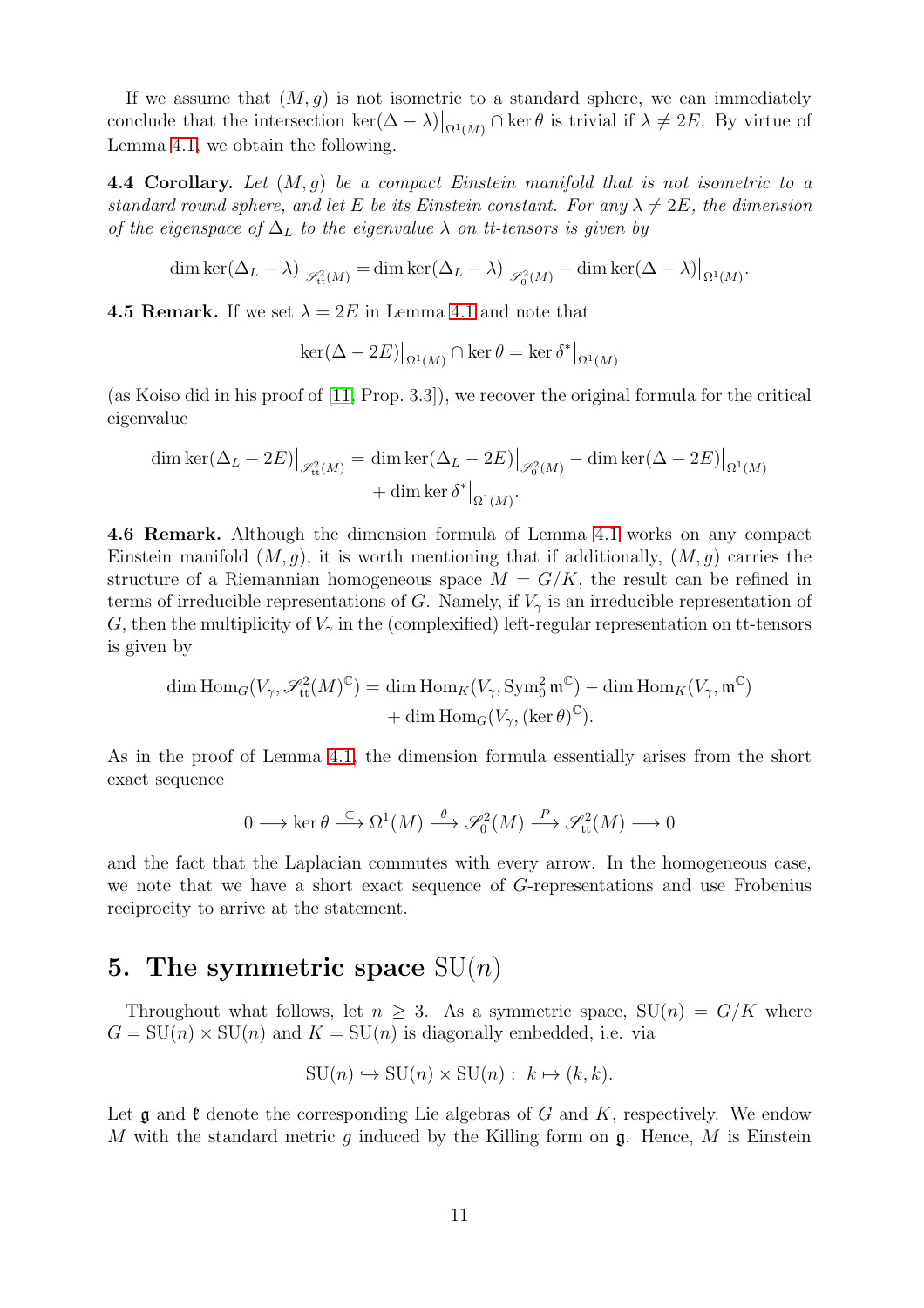If we assume that  $(M, q)$  is not isometric to a standard sphere, we can immediately conclude that the intersection  $\ker(\Delta - \lambda)|_{\Omega^1(M)} \cap \ker \theta$  is trivial if  $\lambda \neq 2E$ . By virtue of Lemma [4.1,](#page-9-1) we obtain the following.

<span id="page-10-1"></span>4.4 Corollary. Let  $(M, q)$  be a compact Einstein manifold that is not isometric to a standard round sphere, and let E be its Einstein constant. For any  $\lambda \neq 2E$ , the dimension of the eigenspace of  $\Delta_L$  to the eigenvalue  $\lambda$  on tt-tensors is given by

$$
\dim \ker(\Delta_L - \lambda)|_{\mathscr{S}_{\text{tt}}^2(M)} = \dim \ker(\Delta_L - \lambda)|_{\mathscr{S}_0^2(M)} - \dim \ker(\Delta - \lambda)|_{\Omega^1(M)}.
$$

**4.5 Remark.** If we set  $\lambda = 2E$  in Lemma [4.1](#page-9-1) and note that

$$
\ker(\Delta - 2E)|_{\Omega^1(M)} \cap \ker \theta = \ker \delta^*|_{\Omega^1(M)}
$$

(as Koiso did in his proof of [\[11,](#page-25-6) Prop. 3.3]), we recover the original formula for the critical eigenvalue

$$
\dim \ker(\Delta_L - 2E)|_{\mathscr{S}_{\text{tt}}^2(M)} = \dim \ker(\Delta_L - 2E)|_{\mathscr{S}_0^2(M)} - \dim \ker(\Delta - 2E)|_{\Omega^1(M)} + \dim \ker \delta^*|_{\Omega^1(M)}.
$$

4.6 Remark. Although the dimension formula of Lemma [4.1](#page-9-1) works on any compact Einstein manifold  $(M, q)$ , it is worth mentioning that if additionally,  $(M, q)$  carries the structure of a Riemannian homogeneous space  $M = G/K$ , the result can be refined in terms of irreducible representations of G. Namely, if  $V_{\gamma}$  is an irreducible representation of G, then the multiplicity of  $V_{\gamma}$  in the (complexified) left-regular representation on tt-tensors is given by

$$
\dim \text{Hom}_G(V_\gamma, \mathscr{S}_{\text{tt}}^2(M)^\mathbb{C}) = \dim \text{Hom}_K(V_\gamma, \text{Sym}^2_0 \mathfrak{m}^\mathbb{C}) - \dim \text{Hom}_K(V_\gamma, \mathfrak{m}^\mathbb{C})
$$
  
+ 
$$
\dim \text{Hom}_G(V_\gamma, (\ker \theta)^\mathbb{C}).
$$

As in the proof of Lemma [4.1,](#page-9-1) the dimension formula essentially arises from the short exact sequence

$$
0 \longrightarrow \ker \theta \stackrel{\subset}{\longrightarrow} \Omega^1(M) \stackrel{\theta}{\longrightarrow} \mathcal{S}_0^2(M) \stackrel{P}{\longrightarrow} \mathcal{S}_t^2(M) \longrightarrow 0
$$

and the fact that the Laplacian commutes with every arrow. In the homogeneous case, we note that we have a short exact sequence of G-representations and use Frobenius reciprocity to arrive at the statement.

### <span id="page-10-0"></span>5. The symmetric space  $SU(n)$

Throughout what follows, let  $n > 3$ . As a symmetric space,  $SU(n) = G/K$  where  $G = SU(n) \times SU(n)$  and  $K = SU(n)$  is diagonally embedded, i.e. via

$$
SU(n) \hookrightarrow SU(n) \times SU(n): k \mapsto (k, k).
$$

Let  $\mathfrak g$  and  $\mathfrak k$  denote the corresponding Lie algebras of G and K, respectively. We endow M with the standard metric q induced by the Killing form on  $\mathfrak{g}$ . Hence, M is Einstein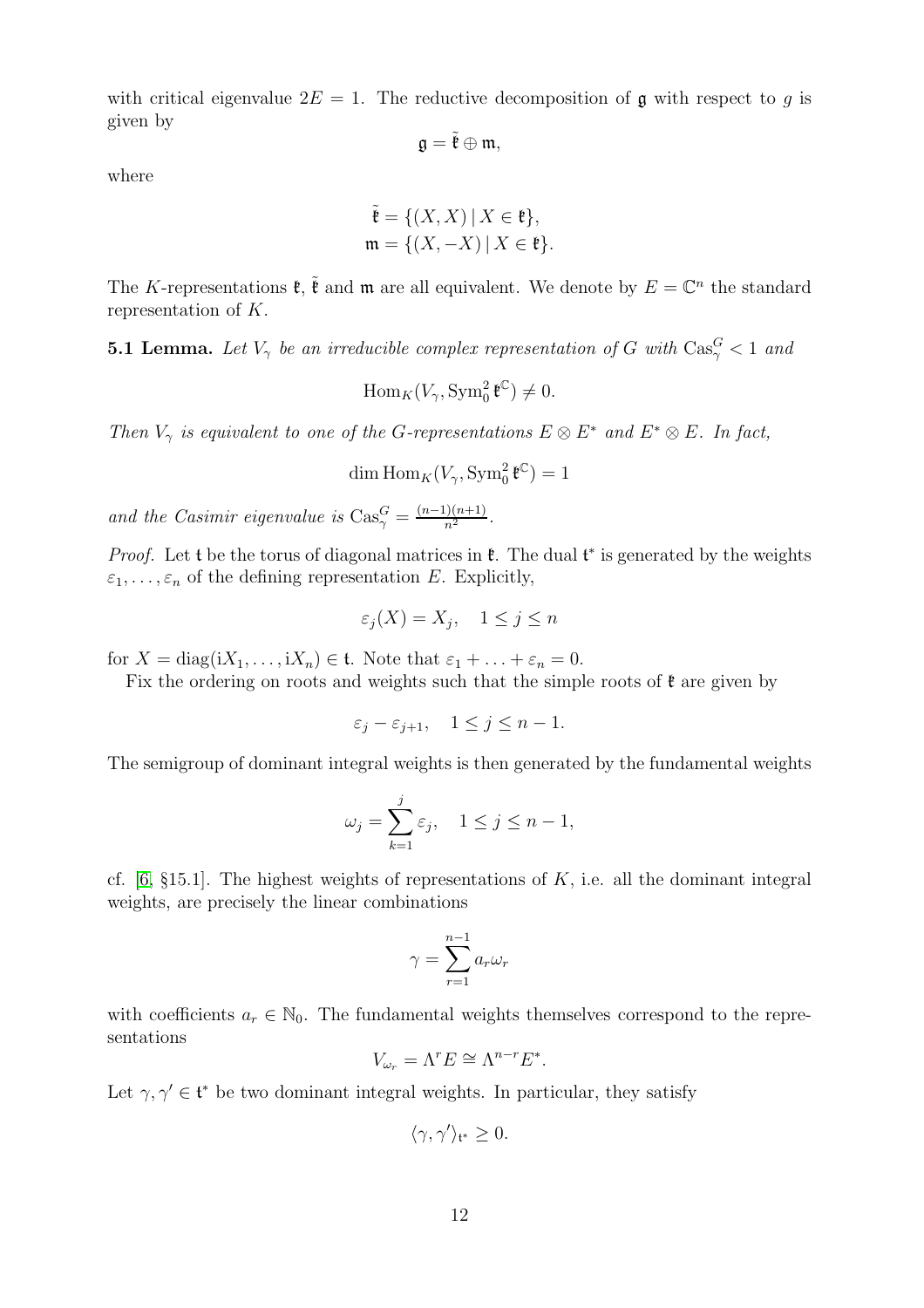with critical eigenvalue  $2E = 1$ . The reductive decomposition of g with respect to q is given by

$$
\mathfrak{g}=\tilde{\mathfrak{k}}\oplus \mathfrak{m},
$$

where

$$
\tilde{\mathfrak{k}} = \{ (X, X) \mid X \in \mathfrak{k} \},
$$
  

$$
\mathfrak{m} = \{ (X, -X) \mid X \in \mathfrak{k} \}.
$$

The K-representations  $\mathfrak{k}$ ,  $\tilde{\mathfrak{k}}$  and  $\mathfrak{m}$  are all equivalent. We denote by  $E = \mathbb{C}^n$  the standard representation of K.

<span id="page-11-0"></span>**5.1 Lemma.** Let  $V_{\gamma}$  be an irreducible complex representation of G with  $\text{Cas}_{\gamma}^G < 1$  and

 $\text{Hom}_K(V_\gamma, \text{Sym}^2_0 \mathfrak{k}^\mathbb{C}) \neq 0.$ 

Then  $V_{\gamma}$  is equivalent to one of the G-representations  $E \otimes E^*$  and  $E^* \otimes E$ . In fact,

dim  $\text{Hom}_K(V_\gamma, \text{Sym}^2_0 \mathfrak{k}^\mathbb{C}) = 1$ 

and the Casimir eigenvalue is  $\text{Cas}_{\gamma}^G = \frac{(n-1)(n+1)}{n^2}$ .

*Proof.* Let t be the torus of diagonal matrices in  $\mathfrak{k}$ . The dual  $\mathfrak{t}^*$  is generated by the weights  $\varepsilon_1, \ldots, \varepsilon_n$  of the defining representation E. Explicitly,

$$
\varepsilon_j(X) = X_j, \quad 1 \le j \le n
$$

for  $X = diag(iX_1, ..., iX_n) \in \mathfrak{t}$ . Note that  $\varepsilon_1 + ... + \varepsilon_n = 0$ .

Fix the ordering on roots and weights such that the simple roots of  $\mathfrak{k}$  are given by

$$
\varepsilon_j - \varepsilon_{j+1}, \quad 1 \le j \le n-1.
$$

The semigroup of dominant integral weights is then generated by the fundamental weights

$$
\omega_j = \sum_{k=1}^j \varepsilon_j, \quad 1 \le j \le n-1,
$$

cf.  $[6, §15.1]$ . The highest weights of representations of K, i.e. all the dominant integral weights, are precisely the linear combinations

$$
\gamma = \sum_{r=1}^{n-1} a_r \omega_r
$$

with coefficients  $a_r \in \mathbb{N}_0$ . The fundamental weights themselves correspond to the representations

$$
V_{\omega_r} = \Lambda^r E \cong \Lambda^{n-r} E^*.
$$

Let  $\gamma, \gamma' \in \mathfrak{t}^*$  be two dominant integral weights. In particular, they satisfy

$$
\langle \gamma, \gamma' \rangle_{\mathfrak{t}^*} \ge 0.
$$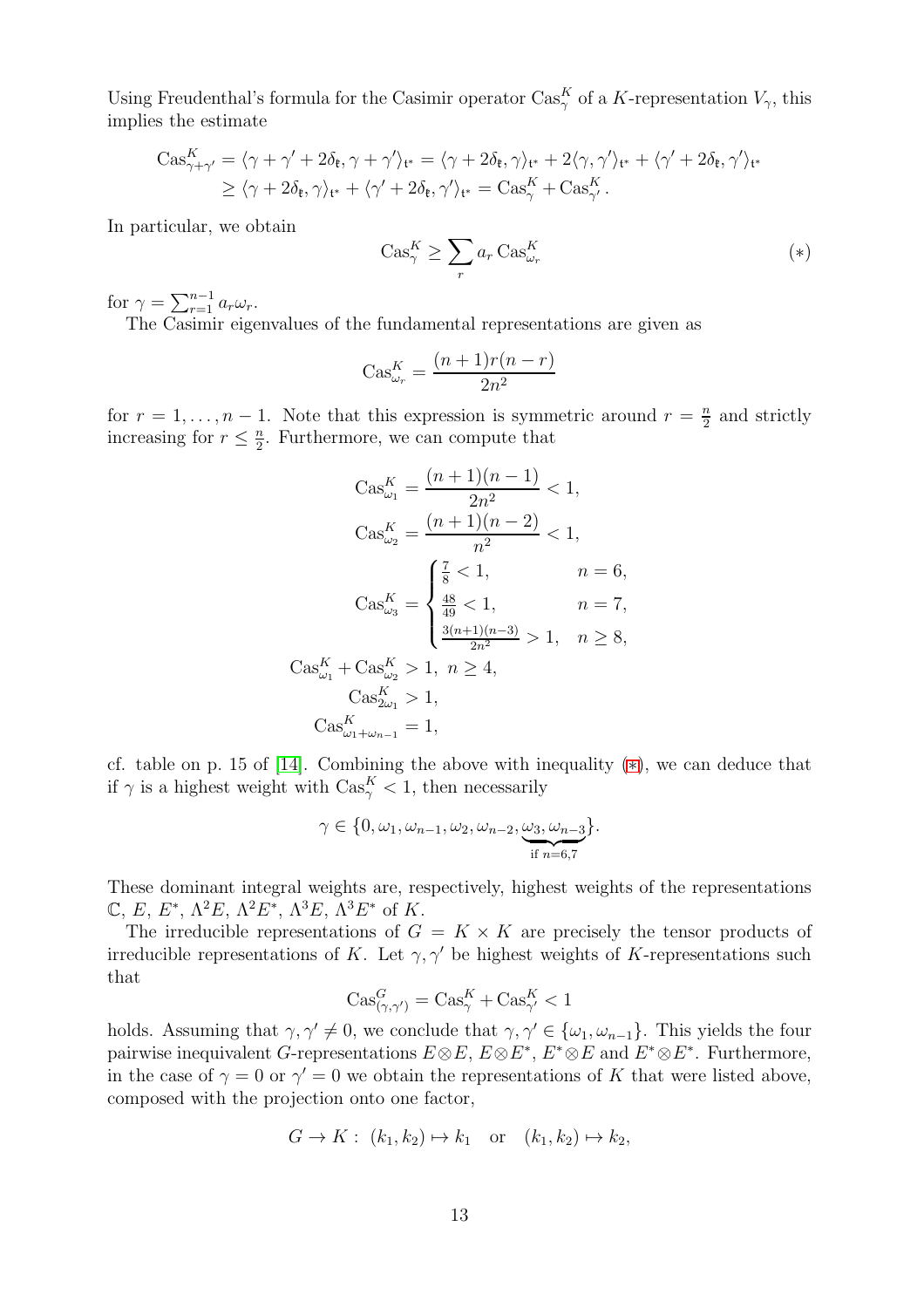Using Freudenthal's formula for the Casimir operator  $\text{Cas}_{\gamma}^K$  of a K-representation  $V_{\gamma}$ , this implies the estimate

$$
\begin{split} \text{Cas}_{\gamma+\gamma'}^{K} &= \langle \gamma+\gamma'+2\delta_{\mathfrak{k}}, \gamma+\gamma' \rangle_{\mathfrak{t}^*} = \langle \gamma+2\delta_{\mathfrak{k}}, \gamma \rangle_{\mathfrak{t}^*} + 2\langle \gamma, \gamma' \rangle_{\mathfrak{t}^*} + \langle \gamma'+2\delta_{\mathfrak{k}}, \gamma' \rangle_{\mathfrak{t}^*} \\ &\geq \langle \gamma+2\delta_{\mathfrak{k}}, \gamma \rangle_{\mathfrak{t}^*} + \langle \gamma'+2\delta_{\mathfrak{k}}, \gamma' \rangle_{\mathfrak{t}^*} = \text{Cas}_{\gamma}^{K} + \text{Cas}_{\gamma'}^{K} .\end{split}
$$

In particular, we obtain

<span id="page-12-0"></span>
$$
\text{Cas}_{\gamma}^K \ge \sum_r a_r \text{Cas}_{\omega_r}^K \tag{*}
$$

for  $\gamma = \sum_{r=1}^{n-1} a_r \omega_r$ .

The Casimir eigenvalues of the fundamental representations are given as

$$
Cos_{\omega_r}^K = \frac{(n+1)r(n-r)}{2n^2}
$$

for  $r = 1, \ldots, n - 1$ . Note that this expression is symmetric around  $r = \frac{n}{2}$  $\frac{n}{2}$  and strictly increasing for  $r \leq \frac{n}{2}$  $\frac{n}{2}$ . Furthermore, we can compute that

$$
Cas_{\omega_1}^K = \frac{(n+1)(n-1)}{2n^2} < 1,
$$
\n
$$
Cas_{\omega_2}^K = \frac{(n+1)(n-2)}{n^2} < 1,
$$
\n
$$
Cas_{\omega_3}^K = \begin{cases} \frac{7}{8} < 1, & n = 6, \\ \frac{48}{49} < 1, & n = 7, \\ \frac{3(n+1)(n-3)}{2n^2} > 1, & n \ge 8, \\ \cos_{\omega_1}^K + Cas_{\omega_2}^K > 1, & n \ge 4, \\ \cos_{\omega_1+\omega_{n-1}}^K = 1, & \end{cases}
$$

cf. table on p. 15 of [\[14\]](#page-25-4). Combining the above with inequality ([∗](#page-12-0)), we can deduce that if  $\gamma$  is a highest weight with  $\text{Cas}_{\gamma}^K < 1$ , then necessarily

$$
\gamma \in \{0, \omega_1, \omega_{n-1}, \omega_2, \omega_{n-2}, \underbrace{\omega_3, \omega_{n-3}}_{\text{if } n=6,7}\}.
$$

These dominant integral weights are, respectively, highest weights of the representations  $\mathbb{C}, E, E^*, \Lambda^2 E, \Lambda^2 E^*, \Lambda^3 E, \Lambda^3 E^*$  of K.

The irreducible representations of  $G = K \times K$  are precisely the tensor products of irreducible representations of K. Let  $\gamma$ ,  $\gamma'$  be highest weights of K-representations such that

$$
Cas^G_{(\gamma,\gamma')} = Cas^K_\gamma + Cas^K_{\gamma'} < 1
$$

holds. Assuming that  $\gamma, \gamma' \neq 0$ , we conclude that  $\gamma, \gamma' \in {\{\omega_1, \omega_{n-1}\}}$ . This yields the four pairwise inequivalent G-representations  $E \otimes E$ ,  $E \otimes E^*$ ,  $E^* \otimes E$  and  $E^* \otimes E^*$ . Furthermore, in the case of  $\gamma = 0$  or  $\gamma' = 0$  we obtain the representations of K that were listed above, composed with the projection onto one factor,

$$
G \to K: (k_1, k_2) \mapsto k_1 \quad \text{or} \quad (k_1, k_2) \mapsto k_2,
$$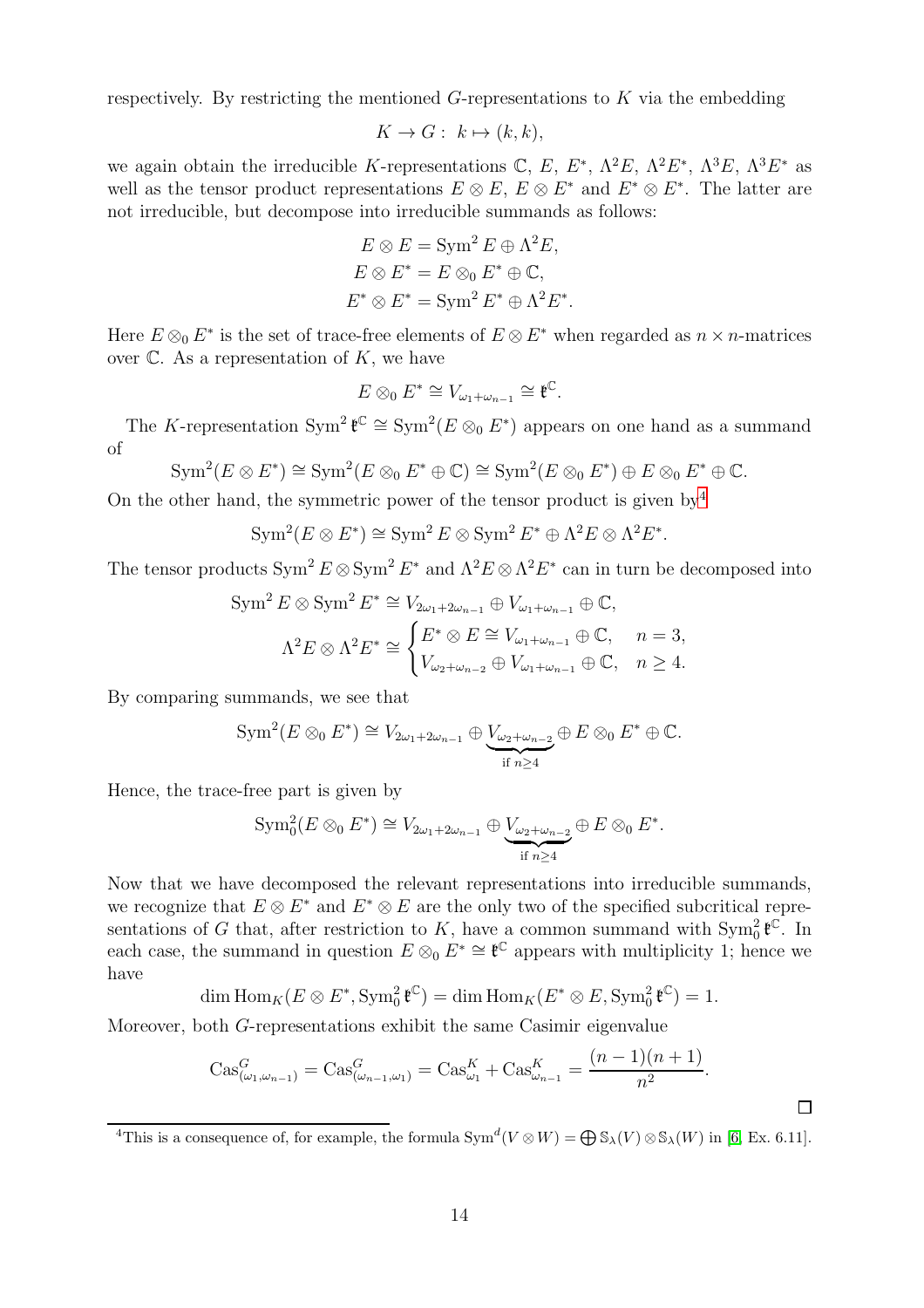respectively. By restricting the mentioned  $G$ -representations to  $K$  via the embedding

$$
K \to G: k \mapsto (k, k),
$$

we again obtain the irreducible K-representations C, E,  $E^*$ ,  $\Lambda^2 E$ ,  $\Lambda^2 E^*$ ,  $\Lambda^3 E$ ,  $\Lambda^3 E^*$  as well as the tensor product representations  $E \otimes E$ ,  $E \otimes E^*$  and  $E^* \otimes E^*$ . The latter are not irreducible, but decompose into irreducible summands as follows:

$$
E \otimes E = \text{Sym}^2 E \oplus \Lambda^2 E,
$$
  
\n
$$
E \otimes E^* = E \otimes_0 E^* \oplus \mathbb{C},
$$
  
\n
$$
E^* \otimes E^* = \text{Sym}^2 E^* \oplus \Lambda^2 E^*.
$$

Here  $E \otimes_0 E^*$  is the set of trace-free elements of  $E \otimes E^*$  when regarded as  $n \times n$ -matrices over  $\mathbb C$ . As a representation of K, we have

$$
E \otimes_0 E^* \cong V_{\omega_1 + \omega_{n-1}} \cong \mathfrak{k}^{\mathbb{C}}.
$$

The K-representation  $\text{Sym}^2 \mathfrak{k}^{\mathbb{C}} \cong \text{Sym}^2(E \otimes_0 E^*)$  appears on one hand as a summand of

$$
\text{Sym}^2(E \otimes E^*) \cong \text{Sym}^2(E \otimes_0 E^* \oplus \mathbb{C}) \cong \text{Sym}^2(E \otimes_0 E^*) \oplus E \otimes_0 E^* \oplus \mathbb{C}.
$$

On the other hand, the symmetric power of the tensor product is given by  $4$ 

$$
\text{Sym}^2(E \otimes E^*) \cong \text{Sym}^2 E \otimes \text{Sym}^2 E^* \oplus \Lambda^2 E \otimes \Lambda^2 E^*.
$$

The tensor products  $\text{Sym}^2 E \otimes \text{Sym}^2 E^*$  and  $\Lambda^2 E \otimes \Lambda^2 E^*$  can in turn be decomposed into

$$
\text{Sym}^2 E \otimes \text{Sym}^2 E^* \cong V_{2\omega_1 + 2\omega_{n-1}} \oplus V_{\omega_1 + \omega_{n-1}} \oplus \mathbb{C},
$$
  

$$
\Lambda^2 E \otimes \Lambda^2 E^* \cong \begin{cases} E^* \otimes E \cong V_{\omega_1 + \omega_{n-1}} \oplus \mathbb{C}, & n = 3, \\ V_{\omega_2 + \omega_{n-2}} \oplus V_{\omega_1 + \omega_{n-1}} \oplus \mathbb{C}, & n \ge 4. \end{cases}
$$

By comparing summands, we see that

$$
\text{Sym}^2(E \otimes_0 E^*) \cong V_{2\omega_1 + 2\omega_{n-1}} \oplus \underbrace{V_{\omega_2 + \omega_{n-2}}}_{\text{if } n \ge 4} \oplus E \otimes_0 E^* \oplus \mathbb{C}.
$$

Hence, the trace-free part is given by

$$
\mathrm{Sym}^{2}_{0}(E \otimes_{0} E^{*}) \cong V_{2\omega_{1}+2\omega_{n-1}} \oplus \underbrace{V_{\omega_{2}+\omega_{n-2}}}_{\text{if } n \geq 4} \oplus E \otimes_{0} E^{*}.
$$

Now that we have decomposed the relevant representations into irreducible summands, we recognize that  $E \otimes E^*$  and  $E^* \otimes E$  are the only two of the specified subcritical representations of G that, after restriction to K, have a common summand with  $\text{Sym}_0^2 \, \mathfrak{k}^{\mathbb{C}}$ . In each case, the summand in question  $E \otimes_0 E^* \cong \mathfrak{k}^{\mathbb{C}}$  appears with multiplicity 1; hence we have

$$
\dim \operatorname{Hom}_K(E \otimes E^*, \operatorname{Sym}_0^2 \mathfrak{k}^{\mathbb{C}}) = \dim \operatorname{Hom}_K(E^* \otimes E, \operatorname{Sym}_0^2 \mathfrak{k}^{\mathbb{C}}) = 1.
$$

Moreover, both G-representations exhibit the same Casimir eigenvalue

$$
Cas_{(\omega_1,\omega_{n-1})}^G = Cas_{(\omega_{n-1},\omega_1)}^G = Cas_{\omega_1}^K + Cas_{\omega_{n-1}}^K = \frac{(n-1)(n+1)}{n^2}.
$$

<span id="page-13-0"></span><sup>4</sup>This is a consequence of, for example, the formula  $\text{Sym}^d(V \otimes W) = \bigoplus \mathbb{S}_\lambda(V) \otimes \mathbb{S}_\lambda(W)$  in [\[6,](#page-25-11) Ex. 6.11].

 $\Box$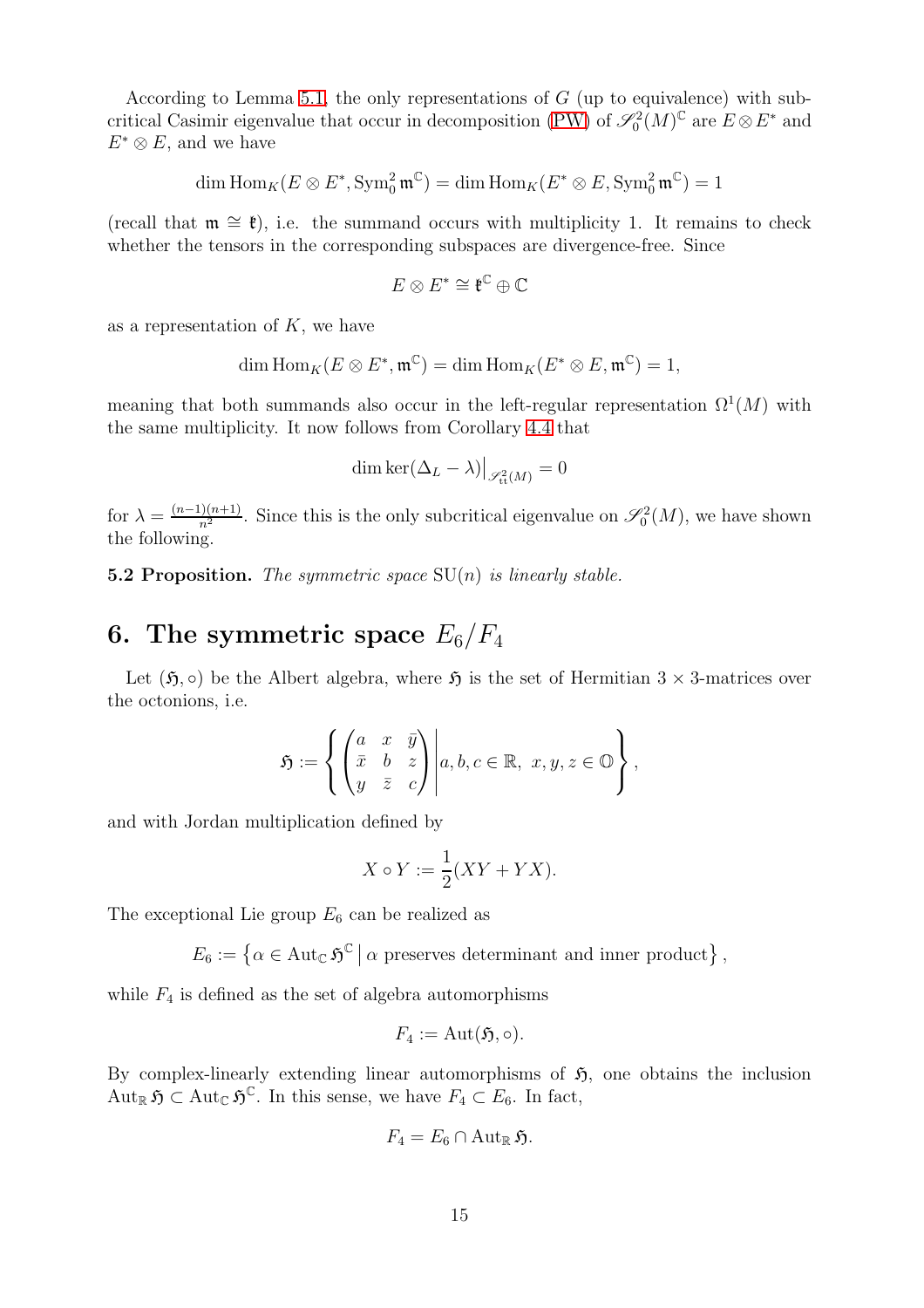According to Lemma [5.1,](#page-11-0) the only representations of  $G$  (up to equivalence) with sub-critical Casimir eigenvalue that occur in decomposition [\(PW\)](#page-6-2) of  $\mathscr{S}_0^2(M)^\mathbb{C}$  are  $E \otimes E^*$  and  $E^* \otimes E$ , and we have

dim  $\mathrm{Hom}_K(E \otimes E^*, \mathrm{Sym}^2_0 \, \mathfrak{m}^\mathbb{C}) = \dim \mathrm{Hom}_K(E^* \otimes E, \mathrm{Sym}^2_0 \, \mathfrak{m}^\mathbb{C}) = 1$ 

(recall that  $m \approx \ell$ ), i.e. the summand occurs with multiplicity 1. It remains to check whether the tensors in the corresponding subspaces are divergence-free. Since

$$
E\otimes E^*\cong \mathfrak{k}^{\mathbb{C}}\oplus \mathbb{C}
$$

as a representation of  $K$ , we have

$$
\dim \operatorname{Hom}_K(E \otimes E^*, \mathfrak{m}^{\mathbb{C}}) = \dim \operatorname{Hom}_K(E^* \otimes E, \mathfrak{m}^{\mathbb{C}}) = 1,
$$

meaning that both summands also occur in the left-regular representation  $\Omega^1(M)$  with the same multiplicity. It now follows from Corollary [4.4](#page-10-1) that

$$
\dim \ker(\Delta_L - \lambda) \big|_{\mathscr{S}_{\textrm{tt}}^2(M)} = 0
$$

for  $\lambda = \frac{(n-1)(n+1)}{n^2}$  $\frac{\partial(n+1)}{n^2}$ . Since this is the only subcritical eigenvalue on  $\mathscr{S}_0^2(M)$ , we have shown the following.

<span id="page-14-1"></span>**5.2 Proposition.** The symmetric space  $SU(n)$  is linearly stable.

# <span id="page-14-0"></span>6. The symmetric space  $E_6/F_4$

Let  $(\mathfrak{H}, \circ)$  be the Albert algebra, where  $\mathfrak{H}$  is the set of Hermitian  $3 \times 3$ -matrices over the octonions, i.e.

$$
\mathfrak{H}:=\left\{\begin{pmatrix}a&x&\bar{y}\\ \bar{x}&b&z\\y&\bar{z}&c\end{pmatrix}\Bigg| a,b,c\in\mathbb{R},\ x,y,z\in\mathbb{O}\right\},\
$$

and with Jordan multiplication defined by

$$
X \circ Y := \frac{1}{2}(XY + YX).
$$

The exceptional Lie group  $E_6$  can be realized as

 $E_6 := \{ \alpha \in \text{Aut}_{\mathbb{C}} \, \mathfrak{H}^{\mathbb{C}} \mid \alpha \text{ preserves determinant and inner product} \},\$ 

while  $F_4$  is defined as the set of algebra automorphisms

$$
F_4:=\mathrm{Aut}(\mathfrak{H},\circ).
$$

By complex-linearly extending linear automorphisms of  $\mathfrak{H}$ , one obtains the inclusion  $\mathrm{Aut}_{\mathbb{R}}\mathfrak{H} \subset \mathrm{Aut}_{\mathbb{C}}\mathfrak{H}^{\mathbb{C}}$ . In this sense, we have  $F_4 \subset E_6$ . In fact,

$$
F_4=E_6\cap {\rm Aut}_{\mathbb R}{\mathfrak H}.
$$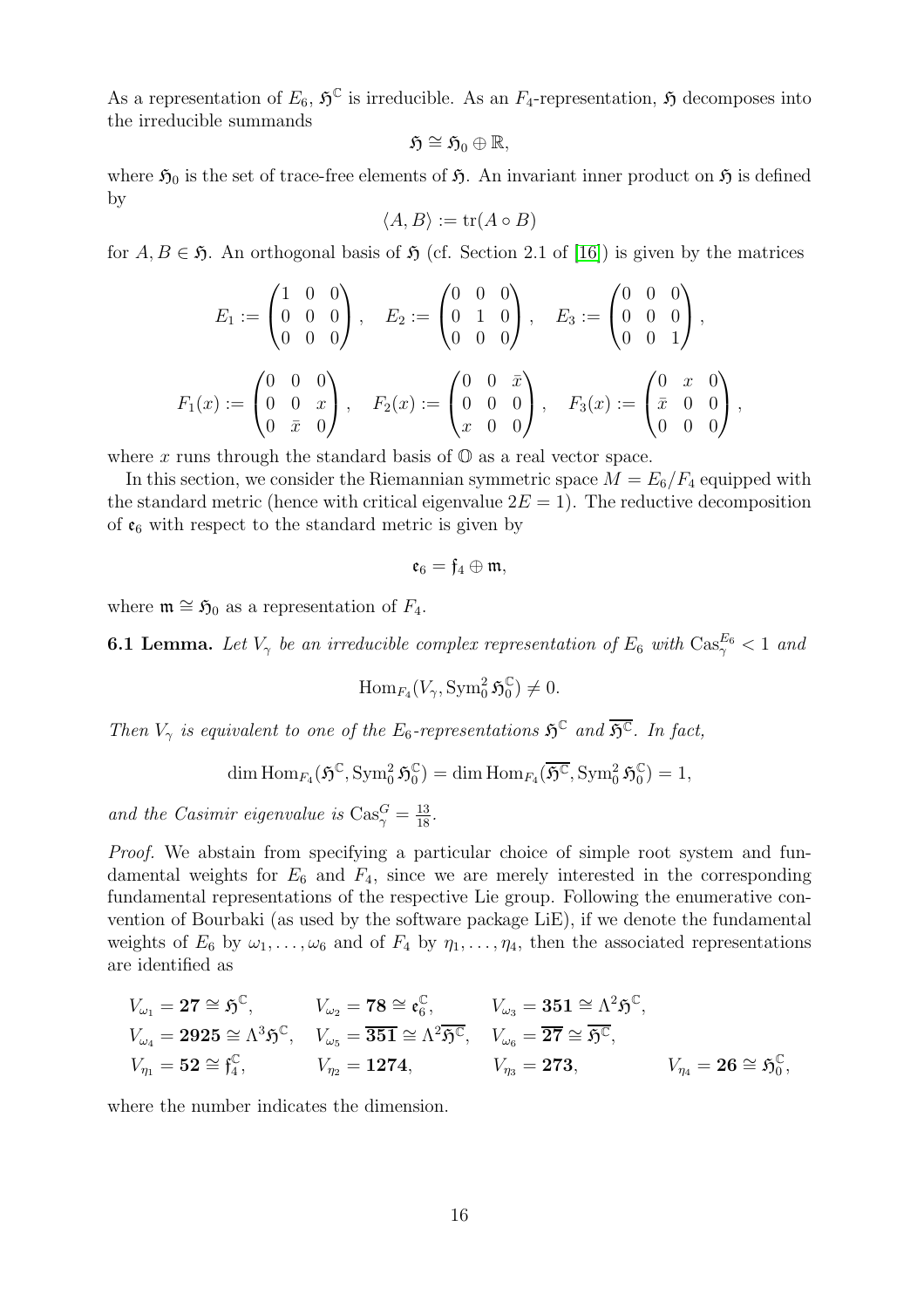As a representation of  $E_6$ ,  $\mathfrak{H}^{\mathbb{C}}$  is irreducible. As an  $F_4$ -representation,  $\mathfrak{H}$  decomposes into the irreducible summands

$$
\mathfrak{H}\cong\mathfrak{H}_0\oplus\mathbb{R},
$$

where  $\mathfrak{H}_0$  is the set of trace-free elements of  $\mathfrak{H}$ . An invariant inner product on  $\mathfrak{H}$  is defined by

$$
\langle A, B \rangle := \text{tr}(A \circ B)
$$

for  $A, B \in \mathfrak{H}$ . An orthogonal basis of  $\mathfrak{H}$  (cf. Section 2.1 of [\[16\]](#page-25-13)) is given by the matrices

$$
E_1 := \begin{pmatrix} 1 & 0 & 0 \\ 0 & 0 & 0 \\ 0 & 0 & 0 \end{pmatrix}, \quad E_2 := \begin{pmatrix} 0 & 0 & 0 \\ 0 & 1 & 0 \\ 0 & 0 & 0 \end{pmatrix}, \quad E_3 := \begin{pmatrix} 0 & 0 & 0 \\ 0 & 0 & 0 \\ 0 & 0 & 1 \end{pmatrix},
$$

$$
F_1(x) := \begin{pmatrix} 0 & 0 & 0 \\ 0 & 0 & x \\ 0 & \bar{x} & 0 \end{pmatrix}, \quad F_2(x) := \begin{pmatrix} 0 & 0 & \bar{x} \\ 0 & 0 & 0 \\ x & 0 & 0 \end{pmatrix}, \quad F_3(x) := \begin{pmatrix} 0 & x & 0 \\ \bar{x} & 0 & 0 \\ 0 & 0 & 0 \end{pmatrix},
$$

where x runs through the standard basis of  $\mathbb{O}$  as a real vector space.

In this section, we consider the Riemannian symmetric space  $M = E_6/F_4$  equipped with the standard metric (hence with critical eigenvalue  $2E = 1$ ). The reductive decomposition of  $\mathfrak{e}_6$  with respect to the standard metric is given by

$$
\mathfrak{e}_6=\mathfrak{f}_4\oplus\mathfrak{m},
$$

where  $\mathfrak{m} \cong \mathfrak{H}_0$  as a representation of  $F_4$ .

<span id="page-15-0"></span>**6.1 Lemma.** Let  $V_{\gamma}$  be an irreducible complex representation of  $E_6$  with  $\text{Cas}_{\gamma}^{E_6} < 1$  and

$$
\operatorname{Hom}_{F_4}(V_{\gamma}, \operatorname{Sym}^2_0 \mathfrak{H}^{\mathbb{C}}_0) \neq 0.
$$

Then  $V_{\gamma}$  is equivalent to one of the E<sub>6</sub>-representations  $\mathfrak{H}^{\mathbb{C}}$  and  $\overline{\mathfrak{H}^{\mathbb{C}}}$ . In fact,

$$
\dim\mathrm{Hom}_{F_4}(\mathfrak{H}^{\mathbb{C}}, \mathrm{Sym}^2_0\mathfrak{H}^{\mathbb{C}}_0)=\dim\mathrm{Hom}_{F_4}(\overline{\mathfrak{H}^{\mathbb{C}}}, \mathrm{Sym}^2_0\mathfrak{H}^{\mathbb{C}}_0)=1,
$$

and the Casimir eigenvalue is  $\text{Cas}_{\gamma}^G = \frac{13}{18}$ .

Proof. We abstain from specifying a particular choice of simple root system and fundamental weights for  $E_6$  and  $F_4$ , since we are merely interested in the corresponding fundamental representations of the respective Lie group. Following the enumerative convention of Bourbaki (as used by the software package LiE), if we denote the fundamental weights of  $E_6$  by  $\omega_1, \ldots, \omega_6$  and of  $F_4$  by  $\eta_1, \ldots, \eta_4$ , then the associated representations are identified as

$$
\begin{aligned} V_{\omega_1} &= \mathbf{27} \cong \mathfrak{H}^{\mathbb{C}}, & V_{\omega_2} &= \mathbf{78} \cong \mathfrak{e}_6^{\mathbb{C}}, & V_{\omega_3} &= \mathbf{351} \cong \Lambda^2 \mathfrak{H}^{\mathbb{C}}, \\ V_{\omega_4} &= \mathbf{2925} \cong \Lambda^3 \mathfrak{H}^{\mathbb{C}}, & V_{\omega_5} &= \overline{\mathbf{351}} \cong \Lambda^2 \overline{\mathfrak{H}^{\mathbb{C}}}, & V_{\omega_6} &= \overline{\mathbf{27}} \cong \overline{\mathfrak{H}^{\mathbb{C}}}, \\ V_{\eta_1} &= \mathbf{52} \cong \mathfrak{f}_4^{\mathbb{C}}, & V_{\eta_2} &= \mathbf{1274}, & V_{\eta_3} &= \mathbf{273}, & V_{\eta_4} &= \mathbf{26} \cong \mathfrak{H}_0^{\mathbb{C}}, \end{aligned}
$$

where the number indicates the dimension.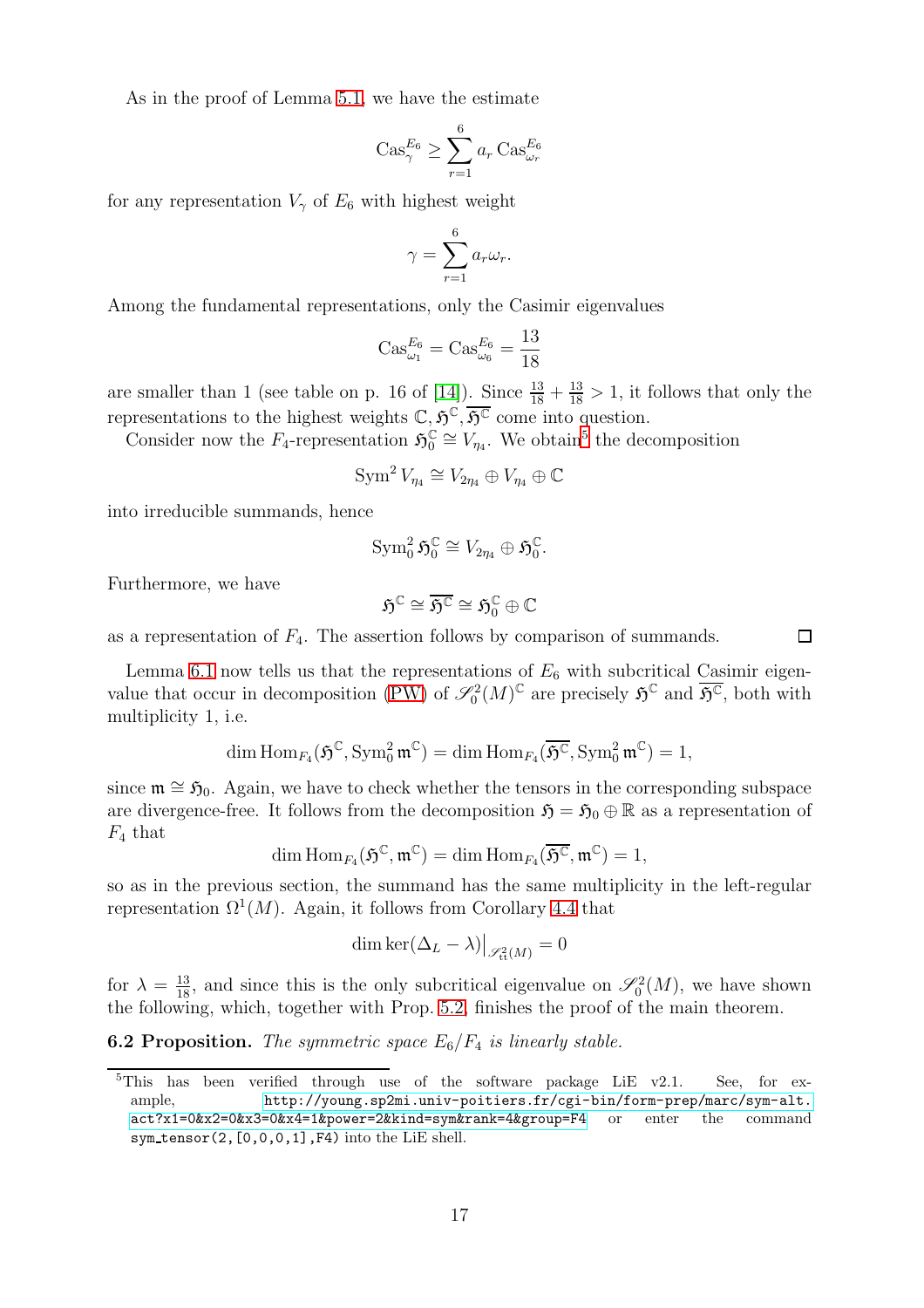As in the proof of Lemma [5.1,](#page-11-0) we have the estimate

$$
\operatorname{Cas}^{E_6}_{\gamma} \ge \sum_{r=1}^6 a_r \operatorname{Cas}^{E_6}_{\omega_r}
$$

for any representation  $V_{\gamma}$  of  $E_6$  with highest weight

$$
\gamma = \sum_{r=1}^{6} a_r \omega_r.
$$

Among the fundamental representations, only the Casimir eigenvalues

$$
Cas_{\omega_1}^{E_6} = Cas_{\omega_6}^{E_6} = \frac{13}{18}
$$

are smaller than 1 (see table on p. 16 of [\[14\]](#page-25-4)). Since  $\frac{13}{18} + \frac{13}{18} > 1$ , it follows that only the representations to the highest weights  $\mathbb{C}, \mathfrak{H}^{\mathbb{C}}, \overline{\mathfrak{H}^{\mathbb{C}}}$  come into question.

Consider now the  $F_4$ -representation  $\mathfrak{H}_0^{\mathbb{C}}$  $\mathcal{C}_0 \cong V_{\eta_4}$ . We obtain<sup>[5](#page-16-0)</sup> the decomposition

$$
\operatorname{Sym}^2 V_{\eta_4} \cong V_{2\eta_4} \oplus V_{\eta_4} \oplus \mathbb{C}
$$

into irreducible summands, hence

$$
\operatorname{Sym}_0^2 {\mathfrak H}_0^{\mathbb C} \cong V_{2\eta_4} \oplus {\mathfrak H}_0^{\mathbb C}.
$$

Furthermore, we have

$$
\mathfrak{H}^{\mathbb{C}}\cong\overline{\mathfrak{H}^{\mathbb{C}}}\cong\mathfrak{H}^{\mathbb{C}}_0\oplus\mathbb{C}
$$

as a representation of  $F_4$ . The assertion follows by comparison of summands.

Lemma [6.1](#page-15-0) now tells us that the representations of  $E_6$  with subcritical Casimir eigen-value that occur in decomposition [\(PW\)](#page-6-2) of  $\mathscr{S}_0^2(M)^\mathbb{C}$  are precisely  $\mathfrak{H}^\mathbb{C}$  and  $\overline{\mathfrak{H}^\mathbb{C}}$ , both with multiplicity 1, i.e.

$$
\dim\mathrm{Hom}_{\mathit{F}_4}(\mathfrak{H}^{\mathbb{C}}, \mathrm{Sym}^2_0\,\mathfrak{m}^{\mathbb{C}}) = \dim\mathrm{Hom}_{\mathit{F}_4}(\overline{\mathfrak{H}^{\mathbb{C}}}, \mathrm{Sym}^2_0\,\mathfrak{m}^{\mathbb{C}}) = 1,
$$

since  $\mathfrak{m} \cong \mathfrak{H}_0$ . Again, we have to check whether the tensors in the corresponding subspace are divergence-free. It follows from the decomposition  $\mathfrak{H} = \mathfrak{H}_0 \oplus \mathbb{R}$  as a representation of  $F_4$  that

$$
\dim \mathrm{Hom}_{F_4}(\mathfrak{H}^{\mathbb{C}},\mathfrak{m}^{\mathbb{C}})=\dim \mathrm{Hom}_{F_4}(\overline{\mathfrak{H}^{\mathbb{C}}},\mathfrak{m}^{\mathbb{C}})=1,
$$

so as in the previous section, the summand has the same multiplicity in the left-regular representation  $\Omega^1(M)$ . Again, it follows from Corollary [4.4](#page-10-1) that

$$
\dim \ker(\Delta_L - \lambda) \big|_{\mathscr{S}_{\textrm{tt}}^2(M)} = 0
$$

for  $\lambda = \frac{13}{18}$ , and since this is the only subcritical eigenvalue on  $\mathscr{S}_0^2(M)$ , we have shown the following, which, together with Prop. [5.2,](#page-14-1) finishes the proof of the main theorem.

<span id="page-16-1"></span>**6.2 Proposition.** The symmetric space  $E_6/F_4$  is linearly stable.

 $\Box$ 

<span id="page-16-0"></span><sup>&</sup>lt;sup>5</sup>This has been verified through use of the software package LiE v2.1. See, for example, [http://young.sp2mi.univ-poitiers.fr/cgi-bin/form-prep/marc/sym-alt.](http://young.sp2mi.univ-poitiers.fr/cgi-bin/form-prep/marc/sym-alt.act?x1=0&x2=0&x3=0&x4=1&power=2&kind=sym&rank=4&group=F4) [act?x1=0&x2=0&x3=0&x4=1&power=2&kind=sym&rank=4&group=F4](http://young.sp2mi.univ-poitiers.fr/cgi-bin/form-prep/marc/sym-alt.act?x1=0&x2=0&x3=0&x4=1&power=2&kind=sym&rank=4&group=F4) or enter the command sym tensor(2,[0,0,0,1],F4) into the LiE shell.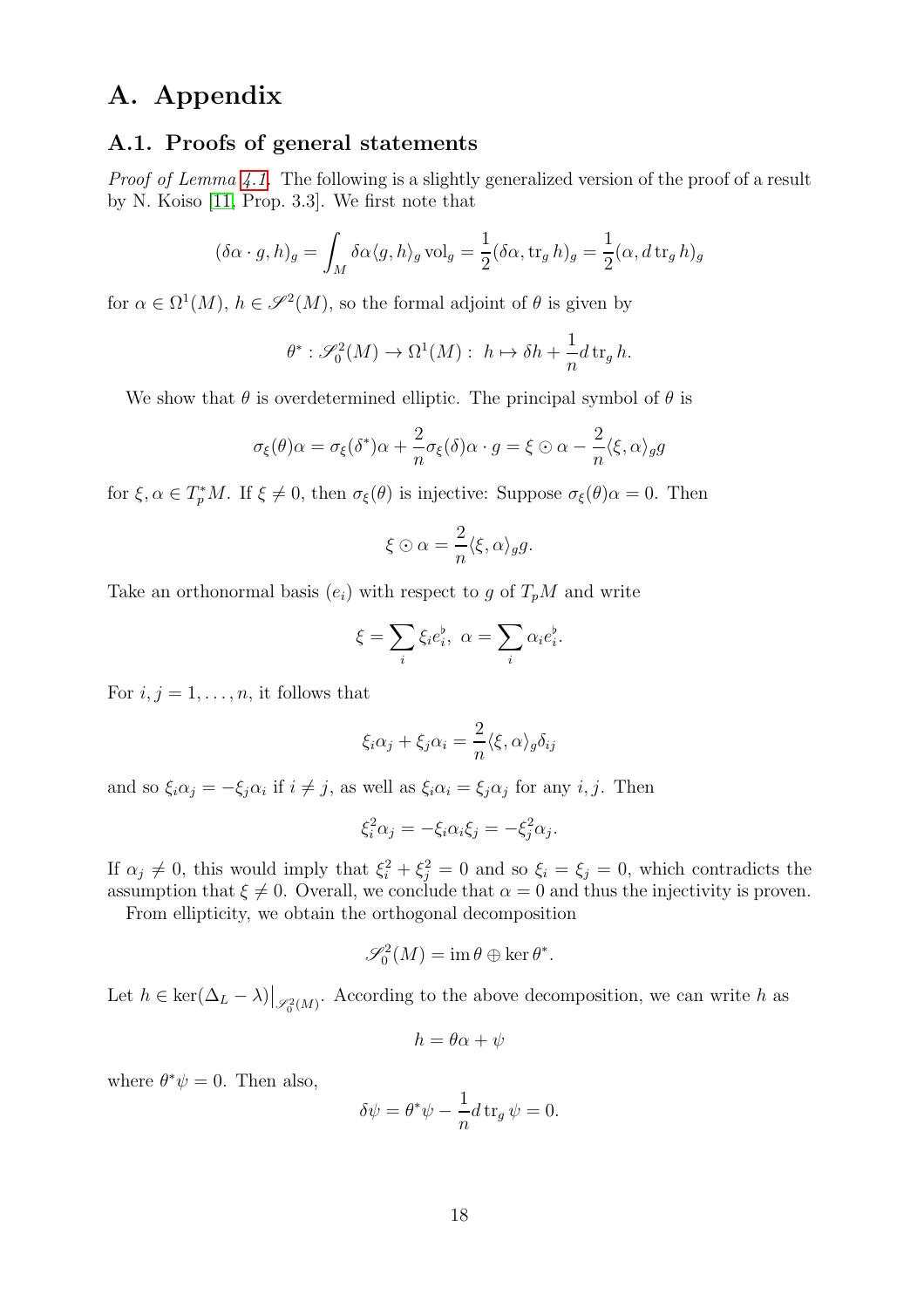### A. Appendix

#### A.1. Proofs of general statements

Proof of Lemma [4.1.](#page-9-1) The following is a slightly generalized version of the proof of a result by N. Koiso [\[11,](#page-25-6) Prop. 3.3]. We first note that

$$
(\delta \alpha \cdot g, h)_g = \int_M \delta \alpha \langle g, h \rangle_g \operatorname{vol}_g = \frac{1}{2} (\delta \alpha, \operatorname{tr}_g h)_g = \frac{1}{2} (\alpha, d \operatorname{tr}_g h)_g
$$

for  $\alpha \in \Omega^1(M)$ ,  $h \in \mathscr{S}^2(M)$ , so the formal adjoint of  $\theta$  is given by

$$
\theta^* : \mathcal{S}_0^2(M) \to \Omega^1(M) : h \mapsto \delta h + \frac{1}{n} d \operatorname{tr}_g h.
$$

We show that  $\theta$  is overdetermined elliptic. The principal symbol of  $\theta$  is

$$
\sigma_{\xi}(\theta)\alpha = \sigma_{\xi}(\delta^*)\alpha + \frac{2}{n}\sigma_{\xi}(\delta)\alpha \cdot g = \xi \odot \alpha - \frac{2}{n}\langle \xi, \alpha \rangle_{g}g
$$

for  $\xi, \alpha \in T_p^*M$ . If  $\xi \neq 0$ , then  $\sigma_{\xi}(\theta)$  is injective: Suppose  $\sigma_{\xi}(\theta)\alpha = 0$ . Then

$$
\xi \odot \alpha = \frac{2}{n} \langle \xi, \alpha \rangle_{g} g.
$$

Take an orthonormal basis  $(e_i)$  with respect to g of  $T_pM$  and write

$$
\xi = \sum_{i} \xi_i e_i^{\flat}, \ \alpha = \sum_{i} \alpha_i e_i^{\flat}.
$$

For  $i, j = 1, \ldots, n$ , it follows that

$$
\xi_i \alpha_j + \xi_j \alpha_i = \frac{2}{n} \langle \xi, \alpha \rangle_g \delta_{ij}
$$

and so  $\xi_i \alpha_j = -\xi_j \alpha_i$  if  $i \neq j$ , as well as  $\xi_i \alpha_i = \xi_j \alpha_j$  for any  $i, j$ . Then

$$
\xi_i^2 \alpha_j = -\xi_i \alpha_i \xi_j = -\xi_j^2 \alpha_j.
$$

If  $\alpha_j \neq 0$ , this would imply that  $\xi_i^2 + \xi_j^2 = 0$  and so  $\xi_i = \xi_j = 0$ , which contradicts the assumption that  $\xi \neq 0$ . Overall, we conclude that  $\alpha = 0$  and thus the injectivity is proven.

From ellipticity, we obtain the orthogonal decomposition

$$
\mathscr{S}_0^2(M) = \operatorname{im} \theta \oplus \ker \theta^*.
$$

Let  $h \in \text{ker}(\Delta_L - \lambda) \big|_{\mathscr{S}_0^2(M)}$ . According to the above decomposition, we can write h as

$$
h = \theta \alpha + \psi
$$

where  $\theta^* \psi = 0$ . Then also,

$$
\delta\psi = \theta^*\psi - \frac{1}{n}d\operatorname{tr}_g\psi = 0.
$$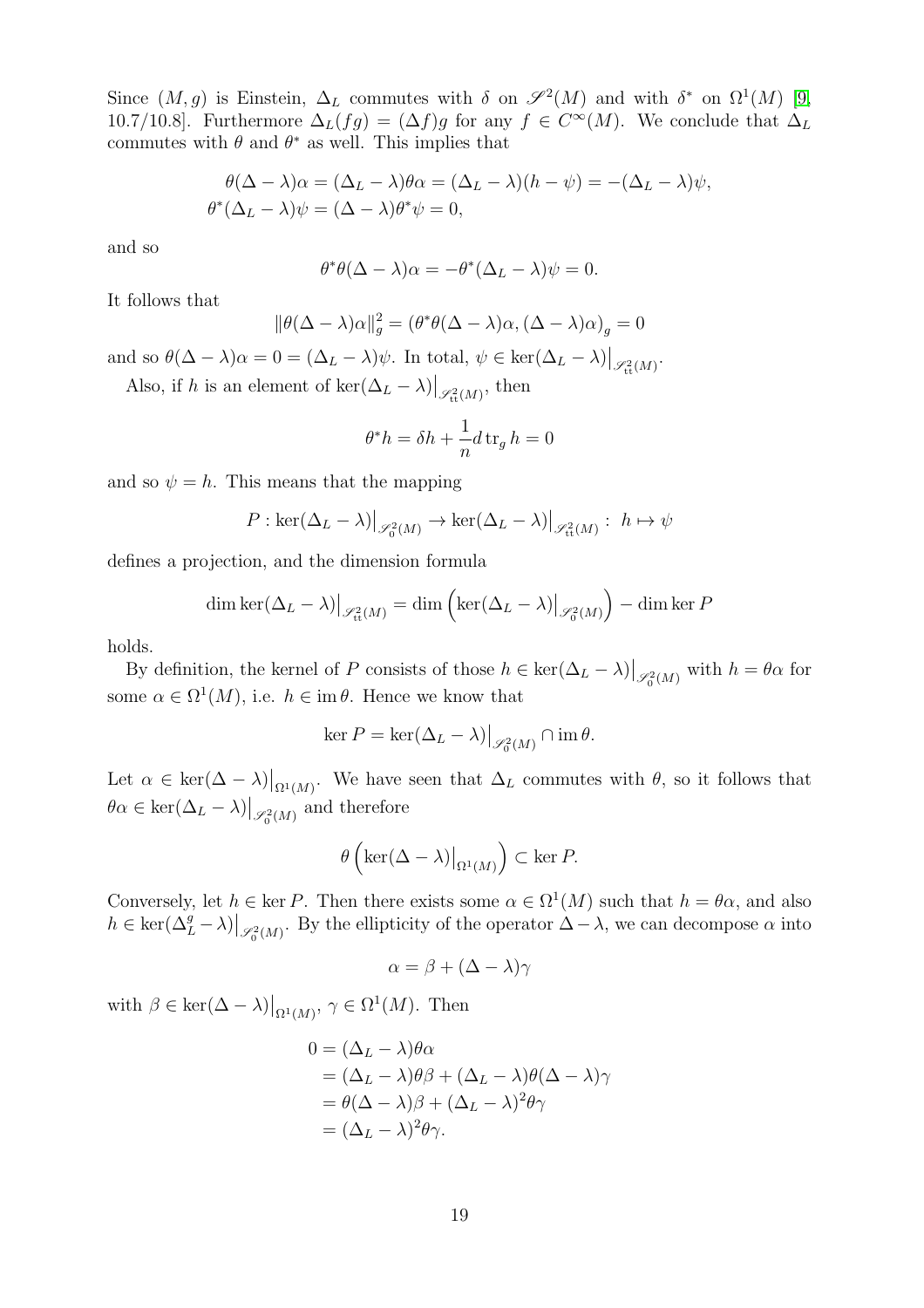Since  $(M, g)$  is Einstein,  $\Delta_L$  commutes with  $\delta$  on  $\mathscr{S}^2(M)$  and with  $\delta^*$  on  $\Omega^1(M)$  [\[9,](#page-25-14) 10.7/10.8]. Furthermore  $\Delta_L(fg) = (\Delta f)g$  for any  $f \in C^{\infty}(M)$ . We conclude that  $\Delta_L$ commutes with  $\theta$  and  $\theta^*$  as well. This implies that

$$
\theta(\Delta - \lambda)\alpha = (\Delta_L - \lambda)\theta\alpha = (\Delta_L - \lambda)(h - \psi) = -(\Delta_L - \lambda)\psi,
$$
  

$$
\theta^*(\Delta_L - \lambda)\psi = (\Delta - \lambda)\theta^*\psi = 0,
$$

and so

$$
\theta^* \theta(\Delta - \lambda)\alpha = -\theta^*(\Delta_L - \lambda)\psi = 0.
$$

It follows that

$$
\|\theta(\Delta - \lambda)\alpha\|_g^2 = (\theta^*\theta(\Delta - \lambda)\alpha, (\Delta - \lambda)\alpha)_g = 0
$$

and so  $\theta(\Delta - \lambda)\alpha = 0 = (\Delta_L - \lambda)\psi$ . In total,  $\psi \in \text{ker}(\Delta_L - \lambda)|_{\mathscr{S}_{\text{tt}}^2(M)}$ .

Also, if h is an element of  $\ker(\Delta_L - \lambda) \big|_{\mathscr{S}_{\text{tt}}^2(M)}$ , then

$$
\theta^* h = \delta h + \frac{1}{n} d \operatorname{tr}_g h = 0
$$

and so  $\psi = h$ . This means that the mapping

$$
P: \ker(\Delta_L - \lambda)|_{\mathscr{S}_0^2(M)} \to \ker(\Delta_L - \lambda)|_{\mathscr{S}_{\text{tt}}^2(M)}: h \mapsto \psi
$$

defines a projection, and the dimension formula

$$
\dim \ker(\Delta_L - \lambda)|_{\mathscr{S}_{\text{tt}}^2(M)} = \dim \left( \ker(\Delta_L - \lambda)|_{\mathscr{S}_0^2(M)} \right) - \dim \ker P
$$

holds.

By definition, the kernel of P consists of those  $h \in \text{ker}(\Delta_L - \lambda)|_{\mathscr{S}_0^2(M)}$  with  $h = \theta\alpha$  for some  $\alpha \in \Omega^1(M)$ , i.e.  $h \in \text{im }\theta$ . Hence we know that

$$
\ker P = \ker(\Delta_L - \lambda)|_{\mathscr{S}_0^2(M)} \cap \text{im}\,\theta.
$$

Let  $\alpha \in \text{ker}(\Delta - \lambda)|_{\Omega^1(M)}$ . We have seen that  $\Delta_L$  commutes with  $\theta$ , so it follows that  $\theta \alpha \in \text{ker}(\Delta_L - \lambda) \big|_{\mathscr{S}^2_0(M)}$  and therefore

$$
\theta\left(\ker(\Delta-\lambda)\big|_{\Omega^1(M)}\right) \subset \ker P.
$$

Conversely, let  $h \in \text{ker } P$ . Then there exists some  $\alpha \in \Omega^1(M)$  such that  $h = \theta \alpha$ , and also  $h \in \text{ker}(\Delta_L^g - \lambda) \big|_{\mathscr{S}_0^2(M)}$ . By the ellipticity of the operator  $\Delta - \lambda$ , we can decompose  $\alpha$  into

$$
\alpha = \beta + (\Delta - \lambda)\gamma
$$

with  $\beta \in \text{ker}(\Delta - \lambda)|_{\Omega^1(M)}, \gamma \in \Omega^1(M)$ . Then

$$
0 = (\Delta_L - \lambda)\theta \alpha
$$
  
= (\Delta\_L - \lambda)\theta \beta + (\Delta\_L - \lambda)\theta (\Delta - \lambda)\gamma  
= \theta(\Delta - \lambda)\beta + (\Delta\_L - \lambda)^2 \theta \gamma  
= (\Delta\_L - \lambda)^2 \theta \gamma.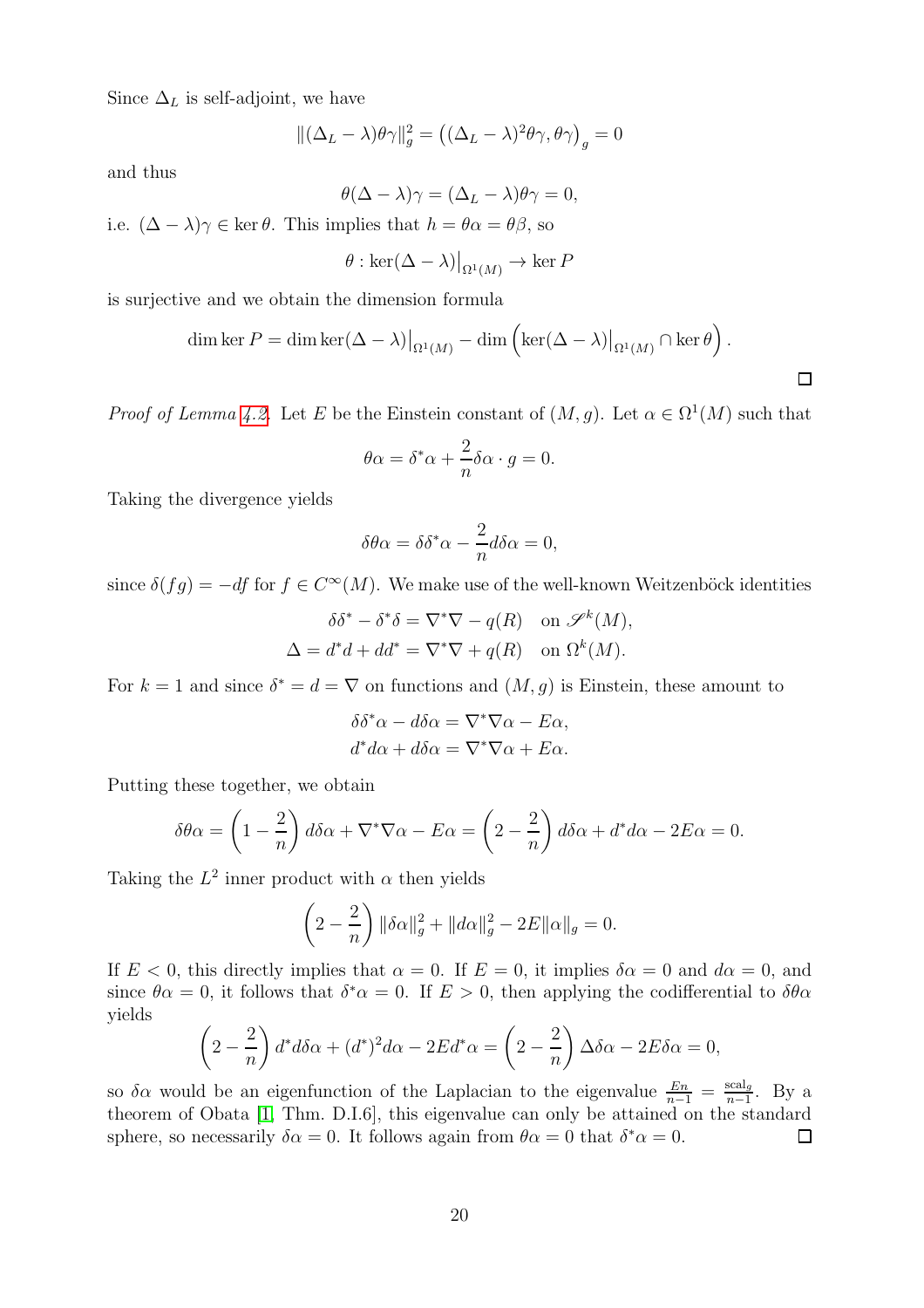Since  $\Delta_L$  is self-adjoint, we have

$$
\|(\Delta_L - \lambda)\theta\gamma\|_g^2 = ((\Delta_L - \lambda)^2 \theta\gamma, \theta\gamma)_g = 0
$$

and thus

$$
\theta(\Delta - \lambda)\gamma = (\Delta_L - \lambda)\theta\gamma = 0,
$$

i.e.  $(\Delta - \lambda)\gamma \in \ker \theta$ . This implies that  $h = \theta \alpha = \theta \beta$ , so

$$
\theta : \ker(\Delta - \lambda)|_{\Omega^1(M)} \to \ker P
$$

is surjective and we obtain the dimension formula

dim ker 
$$
P = \dim \ker(\Delta - \lambda)|_{\Omega^1(M)} - \dim \left( \ker(\Delta - \lambda)|_{\Omega^1(M)} \cap \ker \theta \right).
$$

*Proof of Lemma [4.2.](#page-9-2)* Let E be the Einstein constant of  $(M, g)$ . Let  $\alpha \in \Omega^1(M)$  such that

$$
\theta \alpha = \delta^* \alpha + \frac{2}{n} \delta \alpha \cdot g = 0.
$$

Taking the divergence yields

$$
\delta\theta\alpha = \delta\delta^*\alpha - \frac{2}{n}d\delta\alpha = 0,
$$

since  $\delta(fg) = -df$  for  $f \in C^{\infty}(M)$ . We make use of the well-known Weitzenböck identities

$$
\delta \delta^* - \delta^* \delta = \nabla^* \nabla - q(R) \quad \text{on } \mathscr{S}^k(M),
$$
  

$$
\Delta = d^* d + dd^* = \nabla^* \nabla + q(R) \quad \text{on } \Omega^k(M).
$$

For  $k = 1$  and since  $\delta^* = d = \nabla$  on functions and  $(M, g)$  is Einstein, these amount to

$$
\delta \delta^* \alpha - d \delta \alpha = \nabla^* \nabla \alpha - E \alpha,
$$
  

$$
d^* d \alpha + d \delta \alpha = \nabla^* \nabla \alpha + E \alpha.
$$

Putting these together, we obtain

$$
\delta\theta\alpha = \left(1 - \frac{2}{n}\right)d\delta\alpha + \nabla^*\nabla\alpha - E\alpha = \left(2 - \frac{2}{n}\right)d\delta\alpha + d^*d\alpha - 2E\alpha = 0.
$$

Taking the  $L^2$  inner product with  $\alpha$  then yields

$$
\left(2 - \frac{2}{n}\right) \|\delta \alpha\|_{g}^{2} + \|d\alpha\|_{g}^{2} - 2E \|\alpha\|_{g} = 0.
$$

If  $E < 0$ , this directly implies that  $\alpha = 0$ . If  $E = 0$ , it implies  $\delta \alpha = 0$  and  $d\alpha = 0$ , and since  $\theta \alpha = 0$ , it follows that  $\delta^* \alpha = 0$ . If  $E > 0$ , then applying the codifferential to  $\delta \theta \alpha$ yields

$$
\left(2 - \frac{2}{n}\right)d^*d\delta\alpha + (d^*)^2d\alpha - 2Ed^*\alpha = \left(2 - \frac{2}{n}\right)\Delta\delta\alpha - 2E\delta\alpha = 0,
$$

so  $\delta \alpha$  would be an eigenfunction of the Laplacian to the eigenvalue  $\frac{En}{n-1} = \frac{\text{scal}_g}{n-1}$  $\frac{\text{scal}_g}{n-1}$ . By a theorem of Obata [\[1,](#page-25-15) Thm. D.I.6], this eigenvalue can only be attained on the standard sphere, so necessarily  $\delta \alpha = 0$ . It follows again from  $\theta \alpha = 0$  that  $\delta^* \alpha = 0$ .  $\Box$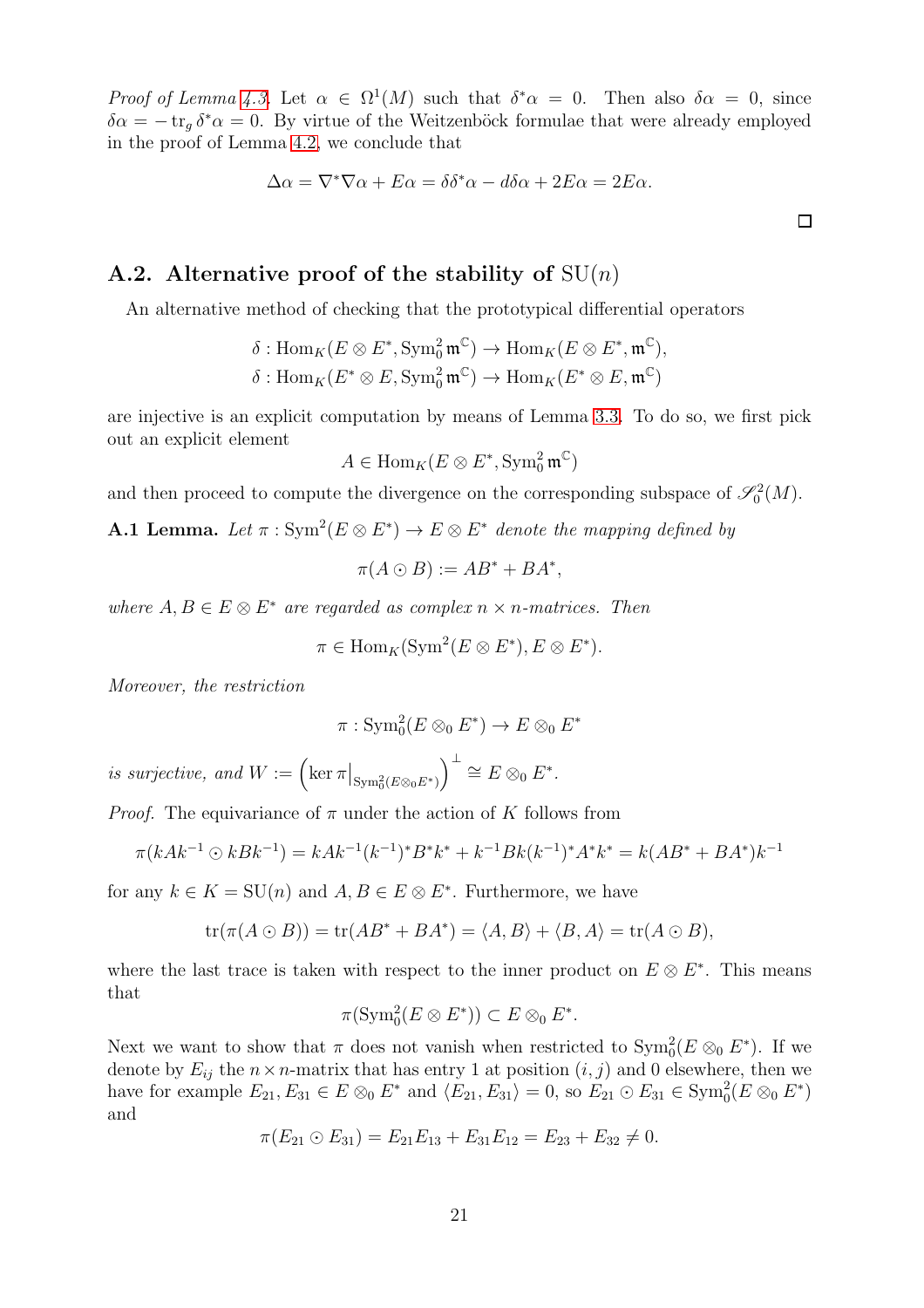Proof of Lemma [4.3.](#page-9-3) Let  $\alpha \in \Omega^1(M)$  such that  $\delta^* \alpha = 0$ . Then also  $\delta \alpha = 0$ , since  $\delta \alpha = -\operatorname{tr}_g \delta^* \alpha = 0$ . By virtue of the Weitzenböck formulae that were already employed in the proof of Lemma [4.2,](#page-9-2) we conclude that

$$
\Delta \alpha = \nabla^* \nabla \alpha + E \alpha = \delta \delta^* \alpha - d \delta \alpha + 2E \alpha = 2E \alpha.
$$

#### A.2. Alternative proof of the stability of  $SU(n)$

An alternative method of checking that the prototypical differential operators

$$
\delta: \mathrm{Hom}_K(E \otimes E^*, \mathrm{Sym}^2_0 \mathfrak{m}^{\mathbb{C}}) \to \mathrm{Hom}_K(E \otimes E^*, \mathfrak{m}^{\mathbb{C}}),
$$

$$
\delta: \mathrm{Hom}_K(E^* \otimes E, \mathrm{Sym}^2_0 \mathfrak{m}^{\mathbb{C}}) \to \mathrm{Hom}_K(E^* \otimes E, \mathfrak{m}^{\mathbb{C}})
$$

are injective is an explicit computation by means of Lemma [3.3.](#page-8-0) To do so, we first pick out an explicit element

$$
A \in \text{Hom}_K(E \otimes E^*, \text{Sym}^2_0 \mathfrak{m}^{\mathbb{C}})
$$

and then proceed to compute the divergence on the corresponding subspace of  $\mathcal{S}_0^2(M)$ .

<span id="page-20-0"></span>**A.1 Lemma.** Let  $\pi : \text{Sym}^2(E \otimes E^*) \to E \otimes E^*$  denote the mapping defined by

$$
\pi(A \odot B) := AB^* + BA^*,
$$

where  $A, B \in E \otimes E^*$  are regarded as complex  $n \times n$ -matrices. Then

$$
\pi \in \text{Hom}_K(\text{Sym}^2(E \otimes E^*), E \otimes E^*).
$$

Moreover, the restriction

$$
\pi: \mathrm{Sym}^2_0(E \otimes_0 E^*) \to E \otimes_0 E^*
$$

is surjective, and  $W := \left( \ker \pi \big|_{\text{Sym}^2_0(E \otimes_0 E^*)} \right)$  $\Big)^{\perp} \cong E \otimes_0 E^*.$ 

*Proof.* The equivariance of  $\pi$  under the action of K follows from

$$
\pi(kAk^{-1}\odot kBk^{-1}) = kAk^{-1}(k^{-1})^*B^*k^* + k^{-1}Bk(k^{-1})^*A^*k^* = k(AB^* + BA^*)k^{-1}
$$

for any  $k \in K = \mathrm{SU}(n)$  and  $A, B \in E \otimes E^*$ . Furthermore, we have

$$
\operatorname{tr}(\pi(A \odot B)) = \operatorname{tr}(AB^* + BA^*) = \langle A, B \rangle + \langle B, A \rangle = \operatorname{tr}(A \odot B),
$$

where the last trace is taken with respect to the inner product on  $E \otimes E^*$ . This means that

$$
\pi(\operatorname{Sym}^2_0(E \otimes E^*)) \subset E \otimes_0 E^*.
$$

Next we want to show that  $\pi$  does not vanish when restricted to  $\text{Sym}^2_0(E \otimes_0 E^*)$ . If we denote by  $E_{ij}$  the  $n \times n$ -matrix that has entry 1 at position  $(i, j)$  and 0 elsewhere, then we have for example  $E_{21}, E_{31} \in E \otimes_0 E^*$  and  $\langle E_{21}, E_{31} \rangle = 0$ , so  $E_{21} \odot E_{31} \in \text{Sym}_0^2(E \otimes_0 E^*)$ and

$$
\pi(E_{21} \odot E_{31}) = E_{21}E_{13} + E_{31}E_{12} = E_{23} + E_{32} \neq 0.
$$

 $\Box$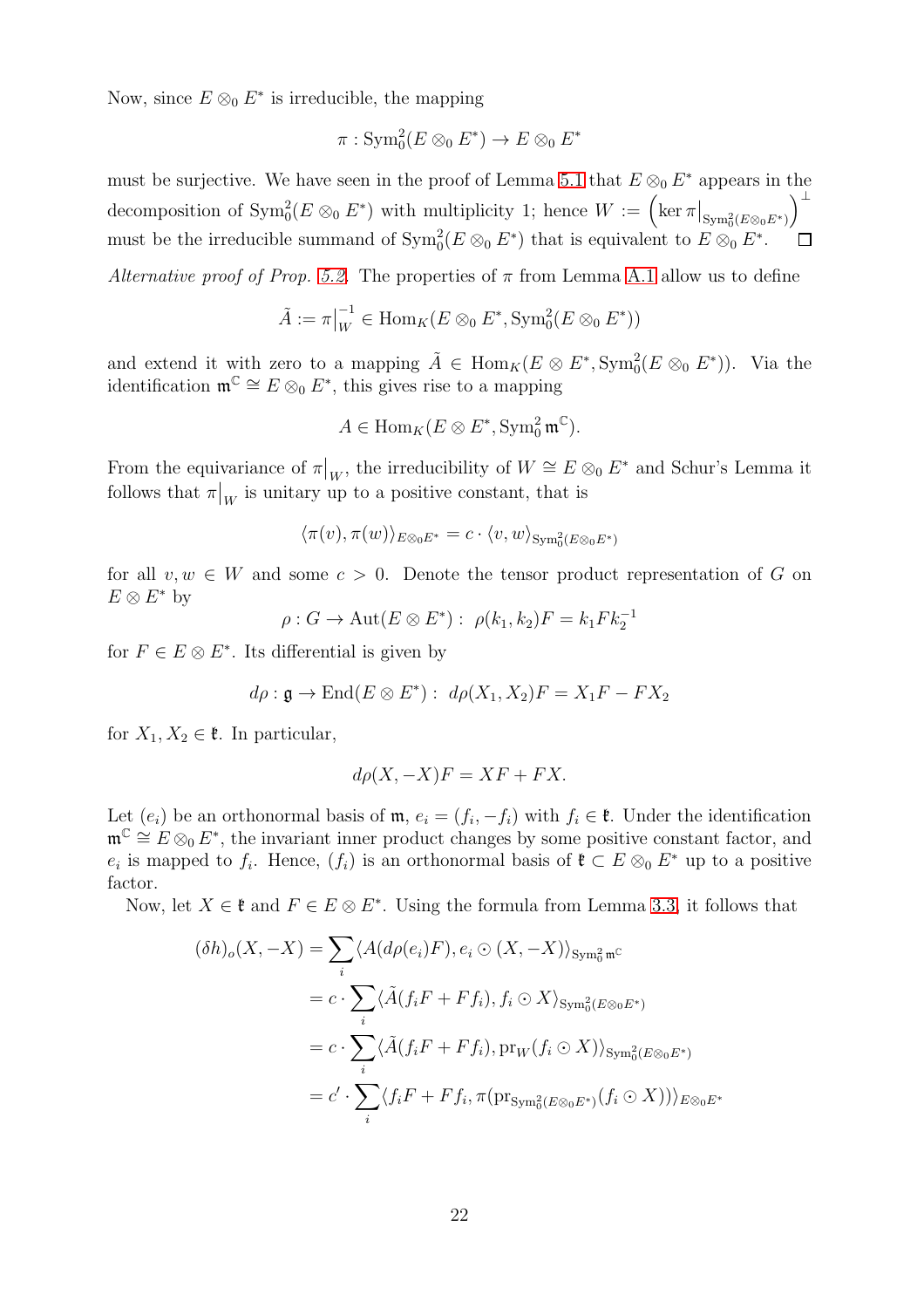Now, since  $E \otimes_0 E^*$  is irreducible, the mapping

$$
\pi: \operatorname{Sym}_0^2(E \otimes_0 E^*) \to E \otimes_0 E^*
$$

must be surjective. We have seen in the proof of Lemma [5.1](#page-11-0) that  $E \otimes_0 E^*$  appears in the ⊥ decomposition of  $\text{Sym}_{0}^{2}(E \otimes_{0} E^{*})$  with multiplicity 1; hence  $W := \left( \ker \pi \big|_{\text{Sym}_{0}^{2}(E \otimes_{0} E^{*})} \right)$ must be the irreducible summand of  $\text{Sym}_0^2(E \otimes_0 E^*)$  that is equivalent to  $E \otimes_0 E^*$ .  $\Box$ 

Alternative proof of Prop. [5.2.](#page-14-1) The properties of  $\pi$  from Lemma [A.1](#page-20-0) allow us to define

$$
\tilde{A} := \pi|_W^{-1} \in \text{Hom}_K(E \otimes_0 E^*, \text{Sym}_0^2(E \otimes_0 E^*))
$$

and extend it with zero to a mapping  $\tilde{A} \in \text{Hom}_K(E \otimes E^*, \text{Sym}_0^2(E \otimes_0 E^*))$ . Via the identification  $\mathfrak{m}^{\mathbb{C}} \cong E \otimes_0 E^*$ , this gives rise to a mapping

$$
A \in \text{Hom}_K(E \otimes E^*, \text{Sym}_0^2 \mathfrak{m}^{\mathbb{C}}).
$$

From the equivariance of  $\pi|_W$ , the irreducibility of  $W \cong E \otimes_0 E^*$  and Schur's Lemma it follows that  $\pi|_W$  is unitary up to a positive constant, that is

$$
\langle \pi(v),\pi(w)\rangle_{E\otimes_0 E^*}=c\cdot \langle v,w\rangle_{\operatorname{Sym}_0^2(E\otimes_0 E^*)}
$$

for all  $v, w \in W$  and some  $c > 0$ . Denote the tensor product representation of G on  $E\otimes E^*$  by

$$
\rho: G \to \mathrm{Aut}(E \otimes E^*) : \ \rho(k_1, k_2)F = k_1 F k_2^{-1}
$$

for  $F \in E \otimes E^*$ . Its differential is given by

$$
d\rho: \mathfrak{g} \to \text{End}(E \otimes E^*) : d\rho(X_1, X_2)F = X_1F - FX_2
$$

for  $X_1, X_2 \in \mathfrak{k}$ . In particular,

$$
d\rho(X, -X)F = XF + FX.
$$

Let  $(e_i)$  be an orthonormal basis of  $\mathfrak{m}$ ,  $e_i = (f_i, -f_i)$  with  $f_i \in \mathfrak{k}$ . Under the identification  $\mathfrak{m}^{\mathbb{C}} \cong E \otimes_0 E^*$ , the invariant inner product changes by some positive constant factor, and  $e_i$  is mapped to  $f_i$ . Hence,  $(f_i)$  is an orthonormal basis of  $\mathfrak{k} \subset E \otimes_0 E^*$  up to a positive factor.

Now, let  $X \in \mathfrak{k}$  and  $F \in E \otimes E^*$ . Using the formula from Lemma [3.3,](#page-8-0) it follows that

$$
(\delta h)_o(X, -X) = \sum_{i} \langle A(d\rho(e_i)F), e_i \odot (X, -X) \rangle_{\text{Sym}_0^2 \mathfrak{m}^C}
$$
  

$$
= c \cdot \sum_{i} \langle \tilde{A}(f_i F + F f_i), f_i \odot X \rangle_{\text{Sym}_0^2(E \otimes_0 E^*)}
$$
  

$$
= c \cdot \sum_{i} \langle \tilde{A}(f_i F + F f_i), \text{pr}_W(f_i \odot X) \rangle_{\text{Sym}_0^2(E \otimes_0 E^*)}
$$
  

$$
= c' \cdot \sum_{i} \langle f_i F + F f_i, \pi(\text{pr}_{\text{Sym}_0^2(E \otimes_0 E^*)}(f_i \odot X)) \rangle_{E \otimes_0 E^*}
$$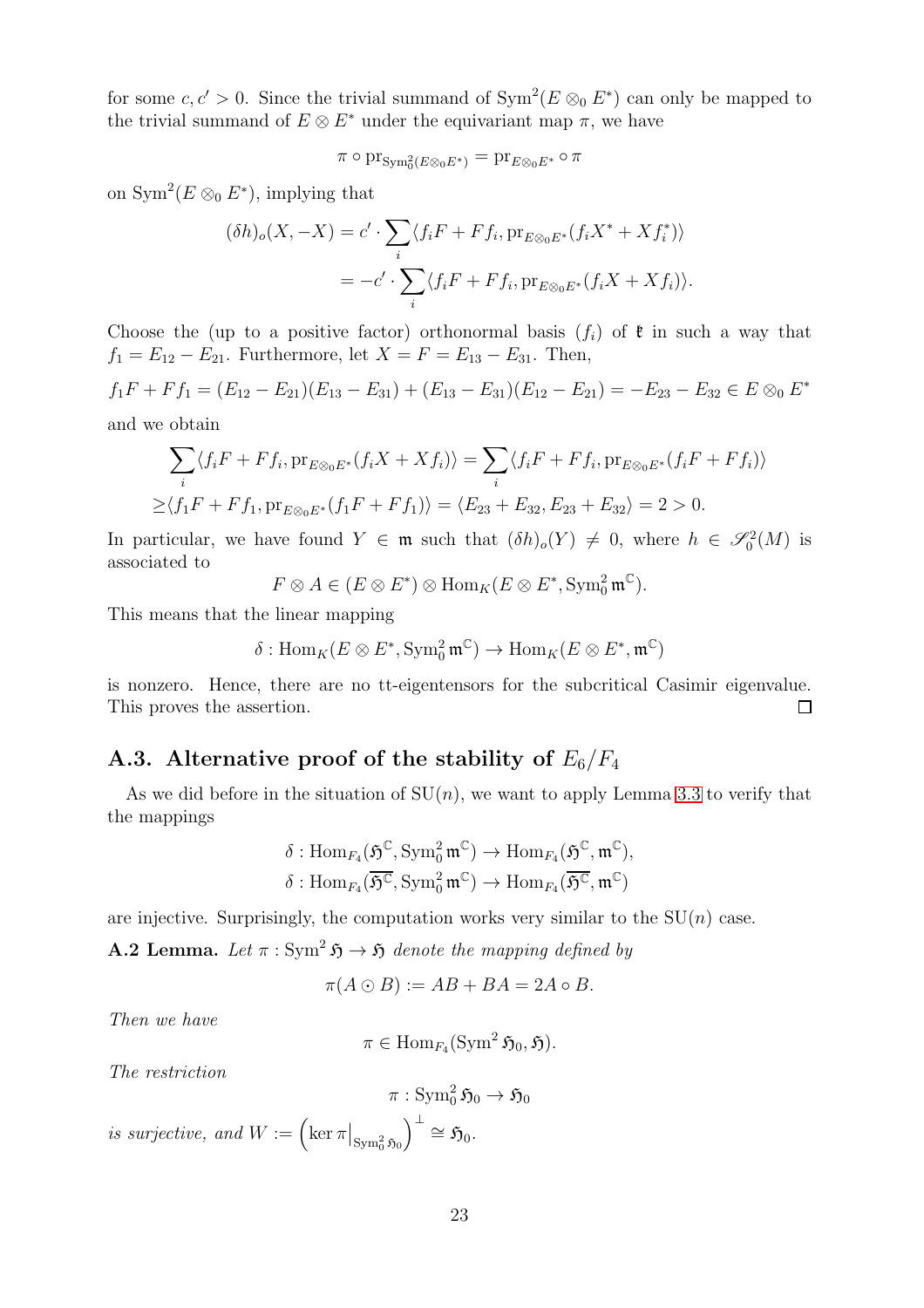for some  $c, c' > 0$ . Since the trivial summand of  $Sym^2(E \otimes_0 E^*)$  can only be mapped to the trivial summand of  $E \otimes E^*$  under the equivariant map  $\pi$ , we have

$$
\pi \circ \operatorname{pr}_{\operatorname{Sym}_0^2(E \otimes_0 E^*)} = \operatorname{pr}_{E \otimes_0 E^*} \circ \pi
$$

on Sym<sup>2</sup> $(E \otimes_0 E^*)$ , implying that

$$
(\delta h)_o(X, -X) = c' \cdot \sum_i \langle f_i F + F f_i, \text{pr}_{E \otimes_0 E^*} (f_i X^* + X f_i^*) \rangle
$$
  
= 
$$
-c' \cdot \sum_i \langle f_i F + F f_i, \text{pr}_{E \otimes_0 E^*} (f_i X + X f_i) \rangle.
$$

Choose the (up to a positive factor) orthonormal basis  $(f_i)$  of  $\mathfrak k$  in such a way that  $f_1 = E_{12} - E_{21}$ . Furthermore, let  $X = F = E_{13} - E_{31}$ . Then,

$$
f_1F + Ff_1 = (E_{12} - E_{21})(E_{13} - E_{31}) + (E_{13} - E_{31})(E_{12} - E_{21}) = -E_{23} - E_{32} \in E \otimes_0 E^*
$$
  
and we obtain

$$
\sum_{i} \langle f_i F + F f_i, \text{pr}_{E \otimes_0 E^*} (f_i X + X f_i) \rangle = \sum_{i} \langle f_i F + F f_i, \text{pr}_{E \otimes_0 E^*} (f_i F + F f_i) \rangle
$$
  
 
$$
\geq \langle f_1 F + F f_1, \text{pr}_{E \otimes_0 E^*} (f_1 F + F f_1) \rangle = \langle E_{23} + E_{32}, E_{23} + E_{32} \rangle = 2 > 0.
$$

In particular, we have found  $Y \in \mathfrak{m}$  such that  $(\delta h)_{o}(Y) \neq 0$ , where  $h \in \mathcal{S}_0^2(M)$  is associated to

$$
F \otimes A \in (E \otimes E^*) \otimes \text{Hom}_K(E \otimes E^*, \text{Sym}_0^2 \mathfrak{m}^{\mathbb{C}}).
$$

This means that the linear mapping

$$
\delta: \operatorname{Hom}_K(E \otimes E^*, \operatorname{Sym}^2_0 \mathfrak{m}^{\mathbb{C}}) \to \operatorname{Hom}_K(E \otimes E^*, \mathfrak{m}^{\mathbb{C}})
$$

is nonzero. Hence, there are no tt-eigentensors for the subcritical Casimir eigenvalue. This proves the assertion. П

#### A.3. Alternative proof of the stability of  $E_6/F_4$

As we did before in the situation of  $SU(n)$ , we want to apply Lemma [3.3](#page-8-0) to verify that the mappings

$$
\delta: \mathrm{Hom}_{F_4}(\mathfrak{H}^{\mathbb{C}}, \mathrm{Sym}^2_0 \mathfrak{m}^{\mathbb{C}}) \to \mathrm{Hom}_{F_4}(\mathfrak{H}^{\mathbb{C}}, \mathfrak{m}^{\mathbb{C}}),\delta: \mathrm{Hom}_{F_4}(\overline{\mathfrak{H}^{\mathbb{C}}}, \mathrm{Sym}^2_0 \mathfrak{m}^{\mathbb{C}}) \to \mathrm{Hom}_{F_4}(\overline{\mathfrak{H}^{\mathbb{C}}}, \mathfrak{m}^{\mathbb{C}})
$$

are injective. Surprisingly, the computation works very similar to the  $SU(n)$  case.

<span id="page-22-0"></span>**A.2 Lemma.** Let  $\pi : Sym^2 \mathfrak{H} \to \mathfrak{H}$  denote the mapping defined by

 $\pi(A \odot B) := AB + BA = 2A \circ B.$ 

Then we have

 $\pi \in \text{Hom}_{F_4}(\text{Sym}^2 \mathfrak{H}_0, \mathfrak{H}).$ 

The restriction

$$
\pi: \operatorname{Sym}^2_0 \mathfrak{H}_0 \to \mathfrak{H}_0
$$
  
is surjective, and  $W := \left( \ker \pi \big|_{\operatorname{Sym}^2_0 \mathfrak{H}_0} \right)^{\perp} \cong \mathfrak{H}_0.$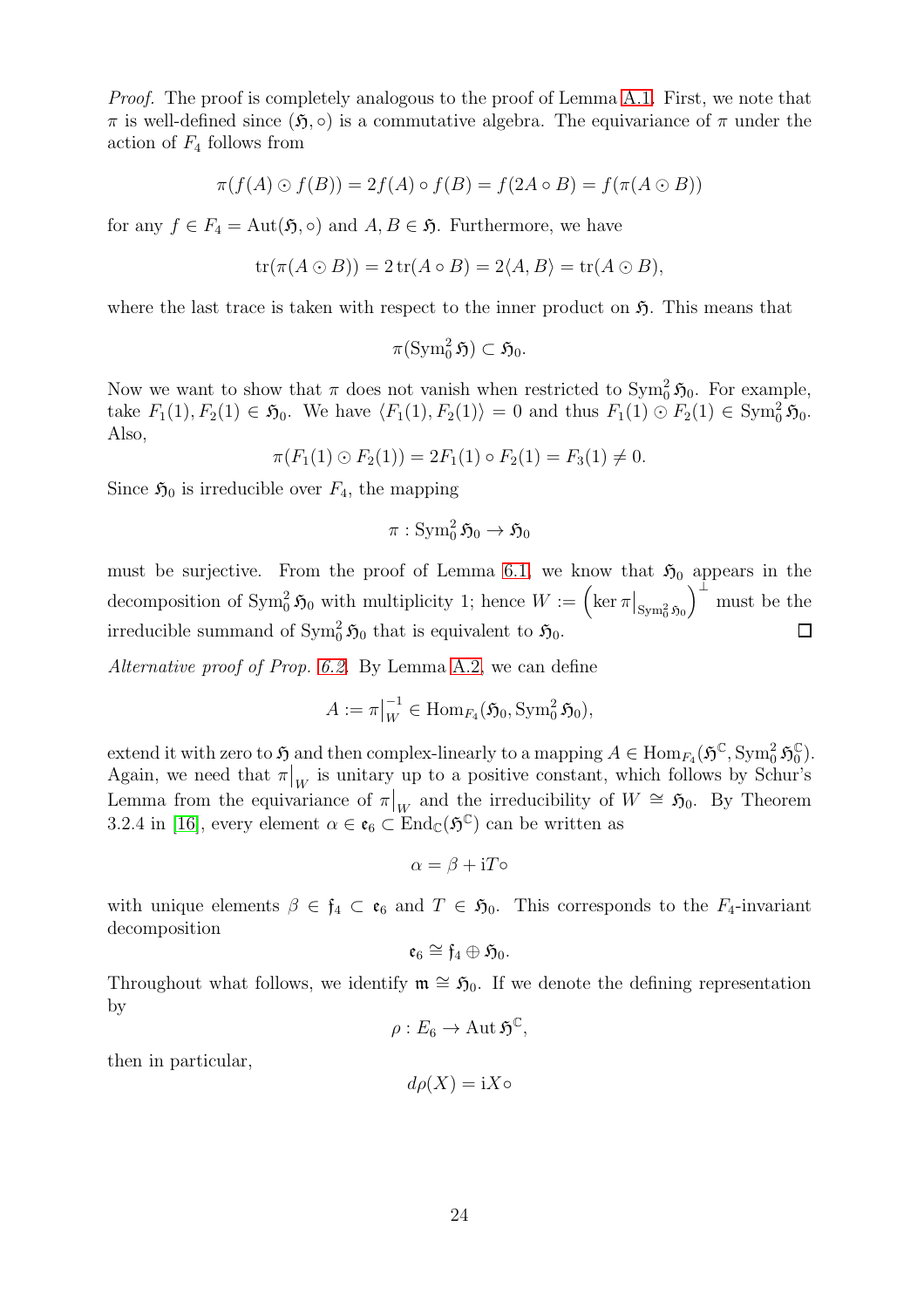Proof. The proof is completely analogous to the proof of Lemma [A.1.](#page-20-0) First, we note that  $\pi$  is well-defined since  $(\mathfrak{H}, \circ)$  is a commutative algebra. The equivariance of  $\pi$  under the action of  $F_4$  follows from

$$
\pi(f(A) \odot f(B)) = 2f(A) \circ f(B) = f(2A \circ B) = f(\pi(A \odot B))
$$

for any  $f \in F_4 = \text{Aut}(\mathfrak{H}, \circ)$  and  $A, B \in \mathfrak{H}$ . Furthermore, we have

$$
\operatorname{tr}(\pi(A \odot B)) = 2 \operatorname{tr}(A \circ B) = 2\langle A, B \rangle = \operatorname{tr}(A \odot B),
$$

where the last trace is taken with respect to the inner product on  $\mathfrak{H}$ . This means that

$$
\pi(\operatorname{Sym}_0^2 \mathfrak{H}) \subset \mathfrak{H}_0.
$$

Now we want to show that  $\pi$  does not vanish when restricted to  $\text{Sym}^2_0$ ,  $\mathfrak{H}_0$ . For example, take  $F_1(1), F_2(1) \in \mathfrak{H}_0$ . We have  $\langle F_1(1), F_2(1) \rangle = 0$  and thus  $F_1(1) \odot F_2(1) \in \text{Sym}_0^2 \mathfrak{H}_0$ . Also,

$$
\pi(F_1(1) \odot F_2(1)) = 2F_1(1) \circ F_2(1) = F_3(1) \neq 0.
$$

Since  $\mathfrak{H}_0$  is irreducible over  $F_4$ , the mapping

$$
\pi:\mathop{\mathrm{Sym}}\nolimits_0^2\mathfrak{H}_0\rightarrow\mathfrak{H}_0
$$

must be surjective. From the proof of Lemma [6.1,](#page-15-0) we know that  $\mathfrak{H}_0$  appears in the  $\Big)^{\perp}$  must be the decomposition of  $\text{Sym}^2_0 \mathfrak{H}_0$  with multiplicity 1; hence  $W := \left( \ker \pi \middle|_{\text{Sym}^2_0 \mathfrak{H}_0} \right)$ irreducible summand of  $\text{Sym}^2_0 \mathfrak{H}_0$  that is equivalent to  $\mathfrak{H}_0$ .  $\Box$ 

Alternative proof of Prop. [6.2.](#page-16-1) By Lemma [A.2,](#page-22-0) we can define

$$
A:=\pi\big|_W^{-1}\in \mathrm{Hom}_{F_4}(\mathfrak{H}_0, \mathrm{Sym}_0^2\mathfrak{H}_0),
$$

extend it with zero to  $\mathfrak H$  and then complex-linearly to a mapping  $A \in \text{Hom}_{F_4}(\mathfrak H^\mathbb C, \text{Sym}_0^2 \mathfrak H_0^\mathbb C)$  $_{0}^{\mathbb{C}}).$ Again, we need that  $\pi|_W$  is unitary up to a positive constant, which follows by Schur's Lemma from the equivariance of  $\pi|_W$  and the irreducibility of  $W \cong \mathfrak{H}_0$ . By Theorem 3.2.4 in [\[16\]](#page-25-13), every element  $\alpha \in \mathfrak{e}_6 \subset \text{End}_{\mathbb{C}}(\mathfrak{H}^{\mathbb{C}})$  can be written as

$$
\alpha = \beta + i T \circ
$$

with unique elements  $\beta \in \mathfrak{f}_4 \subset \mathfrak{e}_6$  and  $T \in \mathfrak{H}_0$ . This corresponds to the  $F_4$ -invariant decomposition

$$
\mathfrak{e}_6 \cong \mathfrak{f}_4 \oplus \mathfrak{H}_0.
$$

Throughout what follows, we identify  $\mathfrak{m} \cong \mathfrak{H}_0$ . If we denote the defining representation by

$$
\rho: E_6 \to \operatorname{Aut} \mathfrak{H}^{\mathbb{C}},
$$

then in particular,

$$
d\rho(X) = iX \circ
$$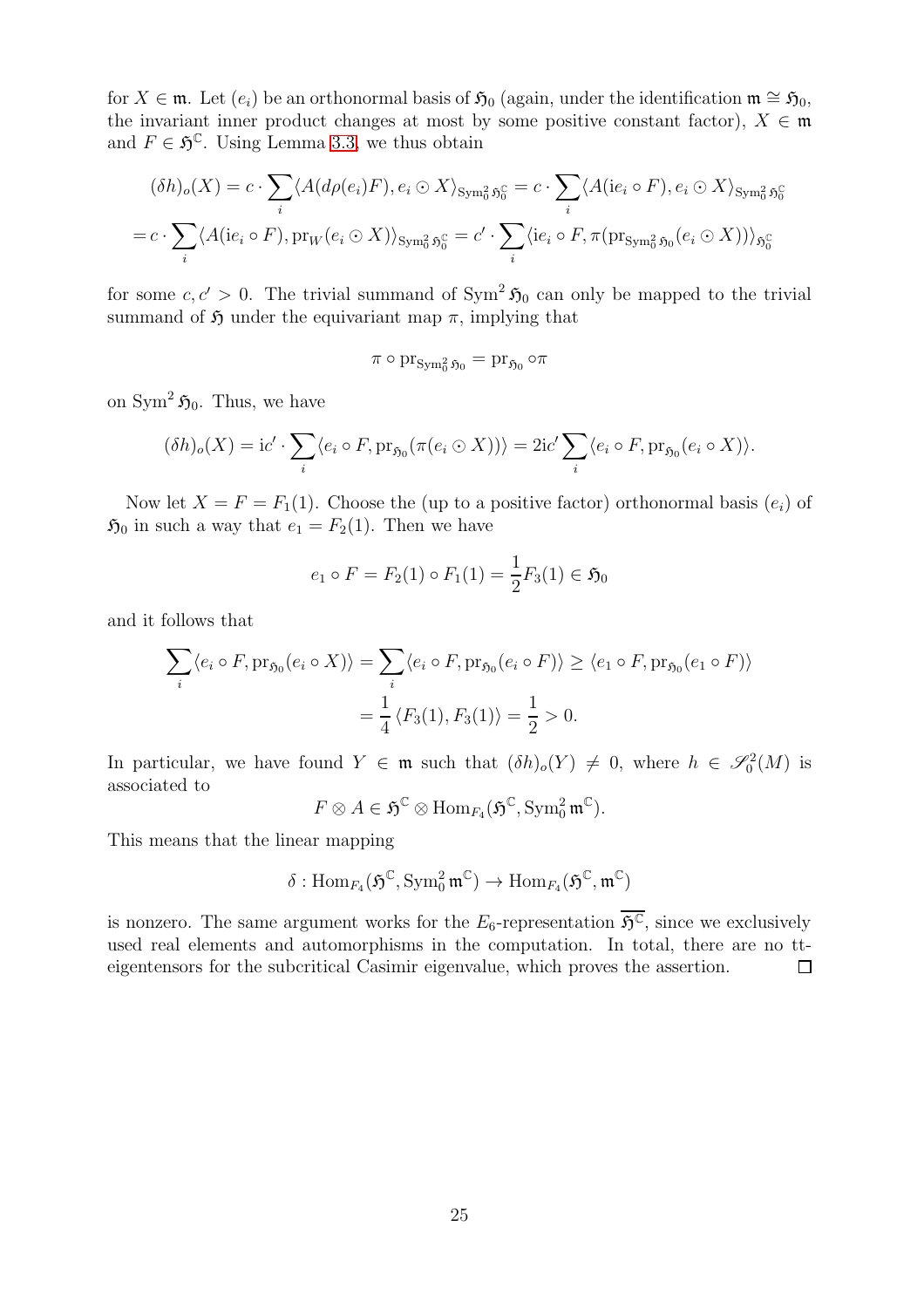for  $X \in \mathfrak{m}$ . Let  $(e_i)$  be an orthonormal basis of  $\mathfrak{H}_0$  (again, under the identification  $\mathfrak{m} \cong \mathfrak{H}_0$ , the invariant inner product changes at most by some positive constant factor),  $X \in \mathfrak{m}$ and  $F \in \mathfrak{H}^{\mathbb{C}}$ . Using Lemma [3.3,](#page-8-0) we thus obtain

$$
(\delta h)_o(X) = c \cdot \sum_i \langle A(d\rho(e_i)F), e_i \odot X \rangle_{\text{Sym}_0^2 \mathfrak{H}_0^{\mathbb{C}}} = c \cdot \sum_i \langle A(i e_i \circ F), e_i \odot X \rangle_{\text{Sym}_0^2 \mathfrak{H}_0^{\mathbb{C}}}
$$

$$
= c \cdot \sum_i \langle A(i e_i \circ F), \text{pr}_W(e_i \odot X) \rangle_{\text{Sym}_0^2 \mathfrak{H}_0^{\mathbb{C}}} = c' \cdot \sum_i \langle ie_i \circ F, \pi(\text{pr}_{\text{Sym}_0^2 \mathfrak{H}_0}(e_i \odot X)) \rangle_{\mathfrak{H}_0^{\mathbb{C}}}
$$

for some  $c, c' > 0$ . The trivial summand of Sym<sup>2</sup>  $\mathfrak{H}_0$  can only be mapped to the trivial summand of  $\mathfrak H$  under the equivariant map  $\pi$ , implying that

$$
\pi\circ \operatorname{pr}_{\operatorname{Sym}_0^2 \mathfrak{H}_0}=\operatorname{pr}_{\mathfrak{H}_0}\circ \pi
$$

on  $\text{Sym}^2 \mathfrak{H}_0$ . Thus, we have

$$
(\delta h)_o(X) = \mathrm{i}c' \cdot \sum_i \langle e_i \circ F, \mathrm{pr}_{\mathfrak{H}_0}(\pi(e_i \odot X)) \rangle = 2\mathrm{i}c' \sum_i \langle e_i \circ F, \mathrm{pr}_{\mathfrak{H}_0}(e_i \circ X) \rangle.
$$

Now let  $X = F = F_1(1)$ . Choose the (up to a positive factor) orthonormal basis  $(e_i)$  of  $\mathfrak{H}_0$  in such a way that  $e_1 = F_2(1)$ . Then we have

$$
e_1 \circ F = F_2(1) \circ F_1(1) = \frac{1}{2} F_3(1) \in \mathfrak{H}_0
$$

and it follows that

$$
\sum_{i} \langle e_i \circ F, \text{pr}_{\mathfrak{H}_0}(e_i \circ X) \rangle = \sum_{i} \langle e_i \circ F, \text{pr}_{\mathfrak{H}_0}(e_i \circ F) \rangle \ge \langle e_1 \circ F, \text{pr}_{\mathfrak{H}_0}(e_1 \circ F) \rangle
$$

$$
= \frac{1}{4} \langle F_3(1), F_3(1) \rangle = \frac{1}{2} > 0.
$$

In particular, we have found  $Y \in \mathfrak{m}$  such that  $(\delta h)_{o}(Y) \neq 0$ , where  $h \in \mathcal{S}_0^2(M)$  is associated to

$$
F \otimes A \in \mathfrak{H}^{\mathbb{C}} \otimes \text{Hom}_{F_4}(\mathfrak{H}^{\mathbb{C}}, \text{Sym}_0^2 \mathfrak{m}^{\mathbb{C}}).
$$

This means that the linear mapping

$$
\delta: \mathrm{Hom}_{\mathit{F}_4}(\mathfrak{H}^{\mathbb{C}}, \mathrm{Sym}^2_0\,\mathfrak{m}^{\mathbb{C}}) \rightarrow \mathrm{Hom}_{\mathit{F}_4}(\mathfrak{H}^{\mathbb{C}}, \mathfrak{m}^{\mathbb{C}})
$$

is nonzero. The same argument works for the  $E_6$ -representation  $\overline{\mathfrak{H}^{\mathbb{C}}}$ , since we exclusively used real elements and automorphisms in the computation. In total, there are no tteigentensors for the subcritical Casimir eigenvalue, which proves the assertion.  $\Box$